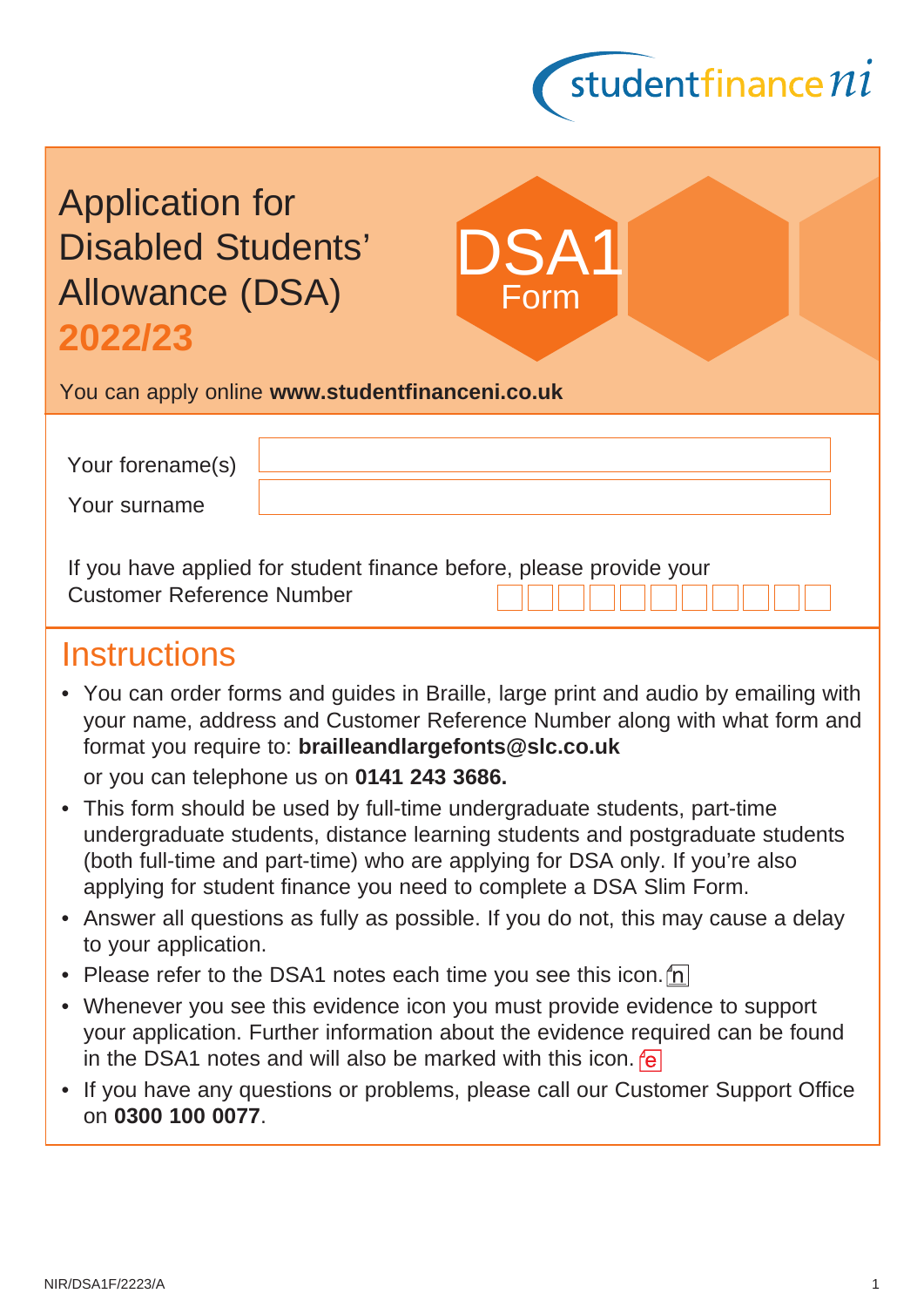

| <b>Application for</b>    |
|---------------------------|
| <b>Disabled Students'</b> |
| <b>Allowance (DSA)</b>    |
| 2022/23                   |

You can apply online **[www.studentfinanceni.co.uk](https://www.studentfinanceni.co.uk/)**

| Your forename(s) |  |
|------------------|--|
| Your surname     |  |

DSA<sup>-</sup>

Form

If you have applied for student finance before, please provide your Customer Reference Number

## **Instructions**

- You can order forms and guides in Braille, large print and audio by emailing with your name, address and Customer Reference Number along with what form and format you require to: **[brailleandlargefonts@slc.co.uk](mailto:brailleandlargefonts@slc.co.uk)** or you can telephone us on **0141 243 3686.**
- This form should be used by full-time undergraduate students, part-time undergraduate students, distance learning students and postgraduate students (both full-time and part-time) who are applying for DSA only. If you're also applying for student finance you need to complete a DSA Slim Form.
- Answer all questions as fully as possible. If you do not, this may cause a delay to your application.
- Please refer to the DSA1 notes each time you see this icon.  $\ln$
- Whenever you see this evidence icon you must provide evidence to support your application. Further information about the evidence required can be found in the DSA1 notes and will also be marked with this icon.  $\sqrt{e}$
- If you have any questions or problems, please call our Customer Support Office on **0300 100 0077**.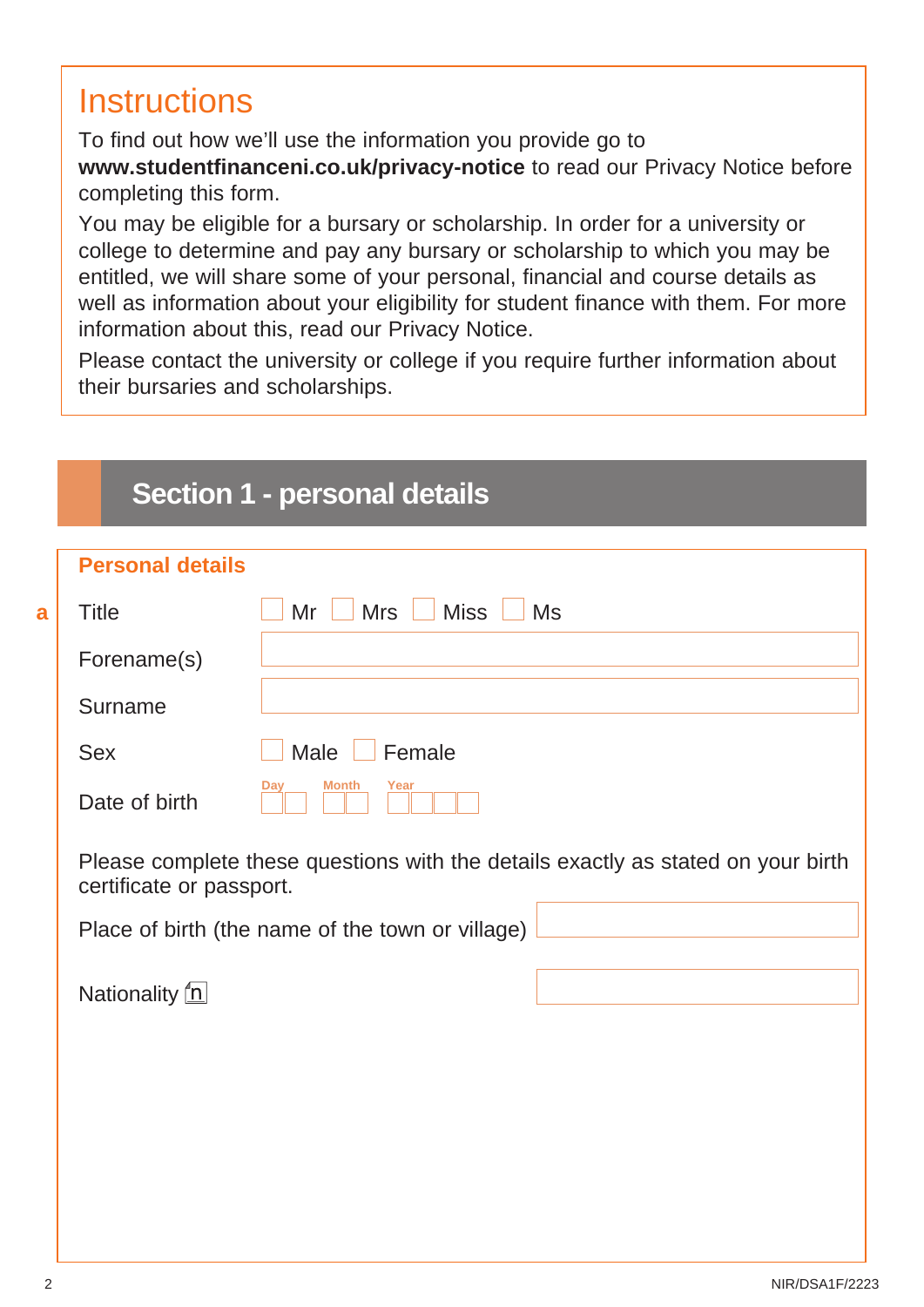# **Instructions**

To find out how we'll use the information you provide go to **[www.studentfinanceni.co.uk/privacy-notice](http://www.studentfinanceni.co.uk/privacy-notice)** to read our Privacy Notice before completing this form.

You may be eligible for a bursary or scholarship. In order for a university or college to determine and pay any bursary or scholarship to which you may be entitled, we will share some of your personal, financial and course details as well as information about your eligibility for student finance with them. For more information about this, read our Privacy Notice.

Please contact the university or college if you require further information about their bursaries and scholarships.

## **Section 1 - personal details**

| <b>Personal details</b>  |                                                                                  |
|--------------------------|----------------------------------------------------------------------------------|
| <b>Title</b>             | $Mrs$ $\Box$ Miss<br>Mr<br><b>Ms</b>                                             |
| Forename(s)              |                                                                                  |
| Surname                  |                                                                                  |
| <b>Sex</b>               | Male  <br>Female                                                                 |
| Date of birth            | <b>Month</b><br>Year<br>Day                                                      |
| certificate or passport. | Please complete these questions with the details exactly as stated on your birth |
|                          | Place of birth (the name of the town or village)                                 |
| Nationality <u>n</u>     |                                                                                  |
|                          |                                                                                  |
|                          |                                                                                  |
|                          |                                                                                  |

**a**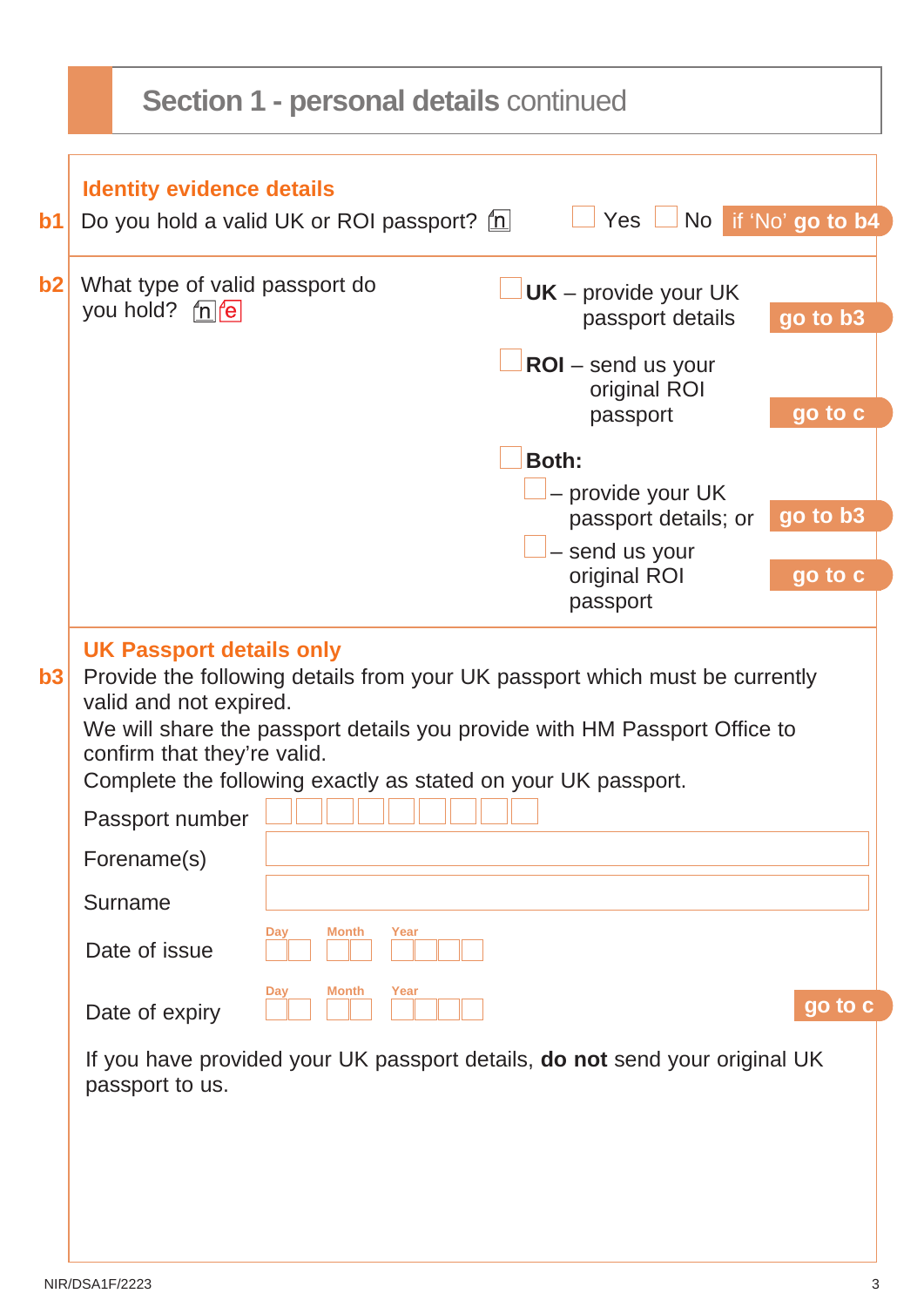|    | <b>Section 1 - personal details continued</b>                                                                                                                                                                                                                                                                                            |  |  |  |  |
|----|------------------------------------------------------------------------------------------------------------------------------------------------------------------------------------------------------------------------------------------------------------------------------------------------------------------------------------------|--|--|--|--|
| b1 | <b>Identity evidence details</b><br>No if 'No' go to b4<br>Yes<br>Do you hold a valid UK or ROI passport? $\underline{f}$                                                                                                                                                                                                                |  |  |  |  |
| b2 | What type of valid passport do<br>$UK$ – provide your UK<br>you hold? ne<br>go to b3<br>passport details                                                                                                                                                                                                                                 |  |  |  |  |
|    | $ROI$ – send us your<br>original ROI<br>go to c<br>passport                                                                                                                                                                                                                                                                              |  |  |  |  |
|    | <b>Both:</b><br>- provide your UK<br>go to b3                                                                                                                                                                                                                                                                                            |  |  |  |  |
|    | passport details; or<br>- send us your<br>go to c<br>original ROI<br>passport                                                                                                                                                                                                                                                            |  |  |  |  |
| b3 | <b>UK Passport details only</b><br>Provide the following details from your UK passport which must be currently<br>valid and not expired.<br>We will share the passport details you provide with HM Passport Office to<br>confirm that they're valid.<br>Complete the following exactly as stated on your UK passport.<br>Passport number |  |  |  |  |
|    | Forename(s)                                                                                                                                                                                                                                                                                                                              |  |  |  |  |
|    | Surname<br>Month<br>Year<br>Dav<br>Date of issue                                                                                                                                                                                                                                                                                         |  |  |  |  |
|    | Month<br>Year<br>Day<br>go to c<br>Date of expiry                                                                                                                                                                                                                                                                                        |  |  |  |  |
|    | If you have provided your UK passport details, <b>do not</b> send your original UK<br>passport to us.                                                                                                                                                                                                                                    |  |  |  |  |
|    |                                                                                                                                                                                                                                                                                                                                          |  |  |  |  |
|    |                                                                                                                                                                                                                                                                                                                                          |  |  |  |  |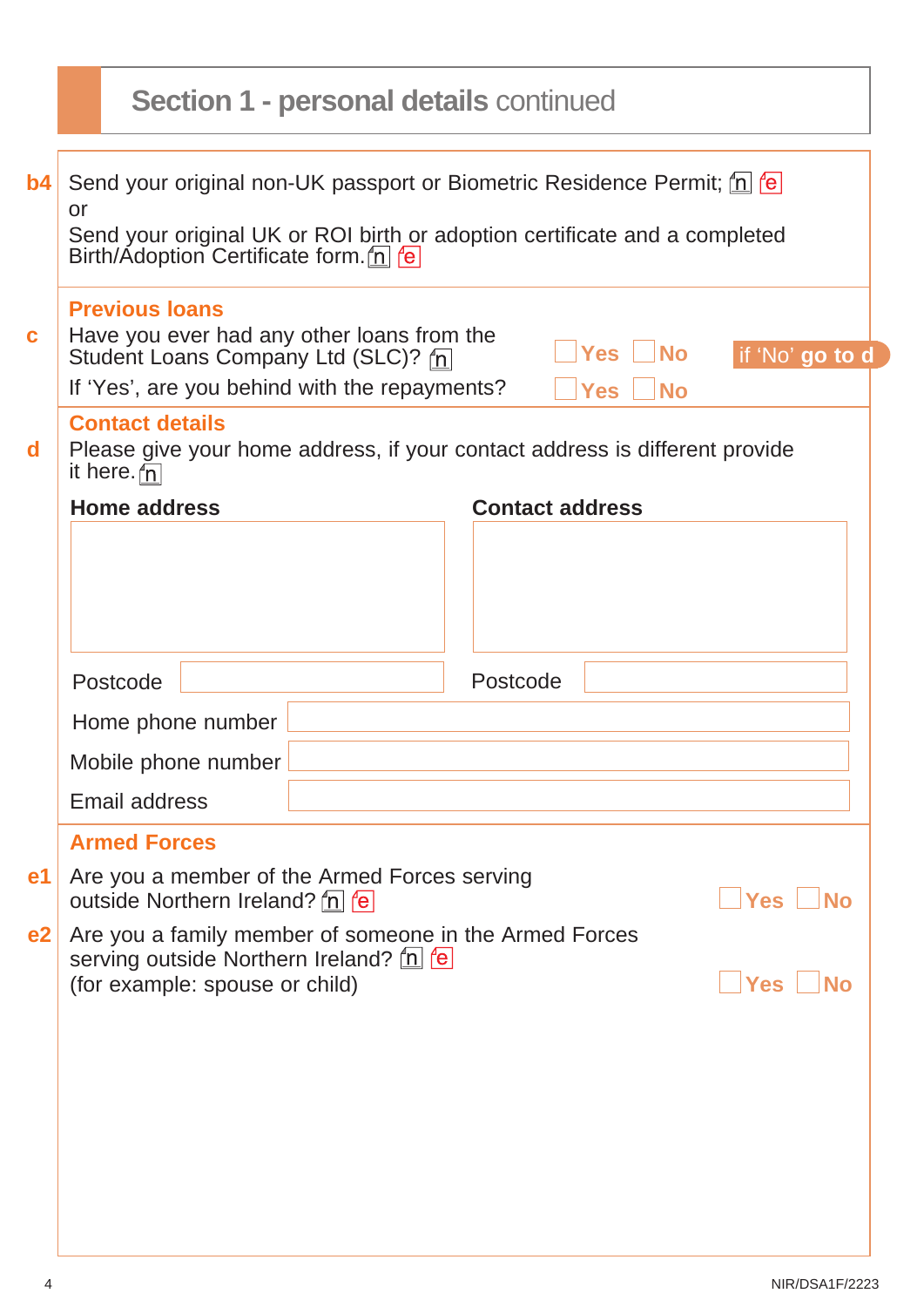|                | <b>Section 1 - personal details continued</b>                                                                                                                                                                        |                                               |                                |                                                                                                               |  |                        |        |  |
|----------------|----------------------------------------------------------------------------------------------------------------------------------------------------------------------------------------------------------------------|-----------------------------------------------|--------------------------------|---------------------------------------------------------------------------------------------------------------|--|------------------------|--------|--|
| b4             | Send your original non-UK passport or Biometric Residence Permit; [n] fe]<br>or<br>Send your original UK or ROI birth or adoption certificate and a completed<br>Birth/Adoption Certificate form. n Fe               |                                               |                                |                                                                                                               |  |                        |        |  |
| $\mathbf c$    | <b>Previous loans</b><br>Have you ever had any other loans from the<br>Yes   No<br>if 'No' go to d<br>Student Loans Company Ltd (SLC)? n<br>If 'Yes', are you behind with the repayments?<br><b>No</b><br><b>Yes</b> |                                               |                                |                                                                                                               |  |                        |        |  |
| d              |                                                                                                                                                                                                                      | <b>Contact details</b><br>it here. $\sqrt{n}$ |                                | Please give your home address, if your contact address is different provide                                   |  |                        |        |  |
|                |                                                                                                                                                                                                                      | <b>Home address</b>                           |                                |                                                                                                               |  | <b>Contact address</b> |        |  |
|                |                                                                                                                                                                                                                      |                                               |                                |                                                                                                               |  |                        |        |  |
|                |                                                                                                                                                                                                                      | Postcode                                      |                                |                                                                                                               |  | Postcode               |        |  |
|                |                                                                                                                                                                                                                      |                                               | Home phone number              |                                                                                                               |  |                        |        |  |
|                |                                                                                                                                                                                                                      |                                               | Mobile phone number            |                                                                                                               |  |                        |        |  |
|                |                                                                                                                                                                                                                      | <b>Email address</b>                          |                                |                                                                                                               |  |                        |        |  |
|                |                                                                                                                                                                                                                      | <b>Armed Forces</b>                           |                                |                                                                                                               |  |                        |        |  |
| e1             |                                                                                                                                                                                                                      |                                               | outside Northern Ireland? n e  | Are you a member of the Armed Forces serving                                                                  |  |                        | Yes No |  |
| e <sub>2</sub> |                                                                                                                                                                                                                      |                                               | (for example: spouse or child) | Are you a family member of someone in the Armed Forces<br>serving outside Northern Ireland? [n] <sup>re</sup> |  |                        | Yes No |  |
|                |                                                                                                                                                                                                                      |                                               |                                |                                                                                                               |  |                        |        |  |
|                |                                                                                                                                                                                                                      |                                               |                                |                                                                                                               |  |                        |        |  |
|                |                                                                                                                                                                                                                      |                                               |                                |                                                                                                               |  |                        |        |  |
|                |                                                                                                                                                                                                                      |                                               |                                |                                                                                                               |  |                        |        |  |
|                |                                                                                                                                                                                                                      |                                               |                                |                                                                                                               |  |                        |        |  |

٦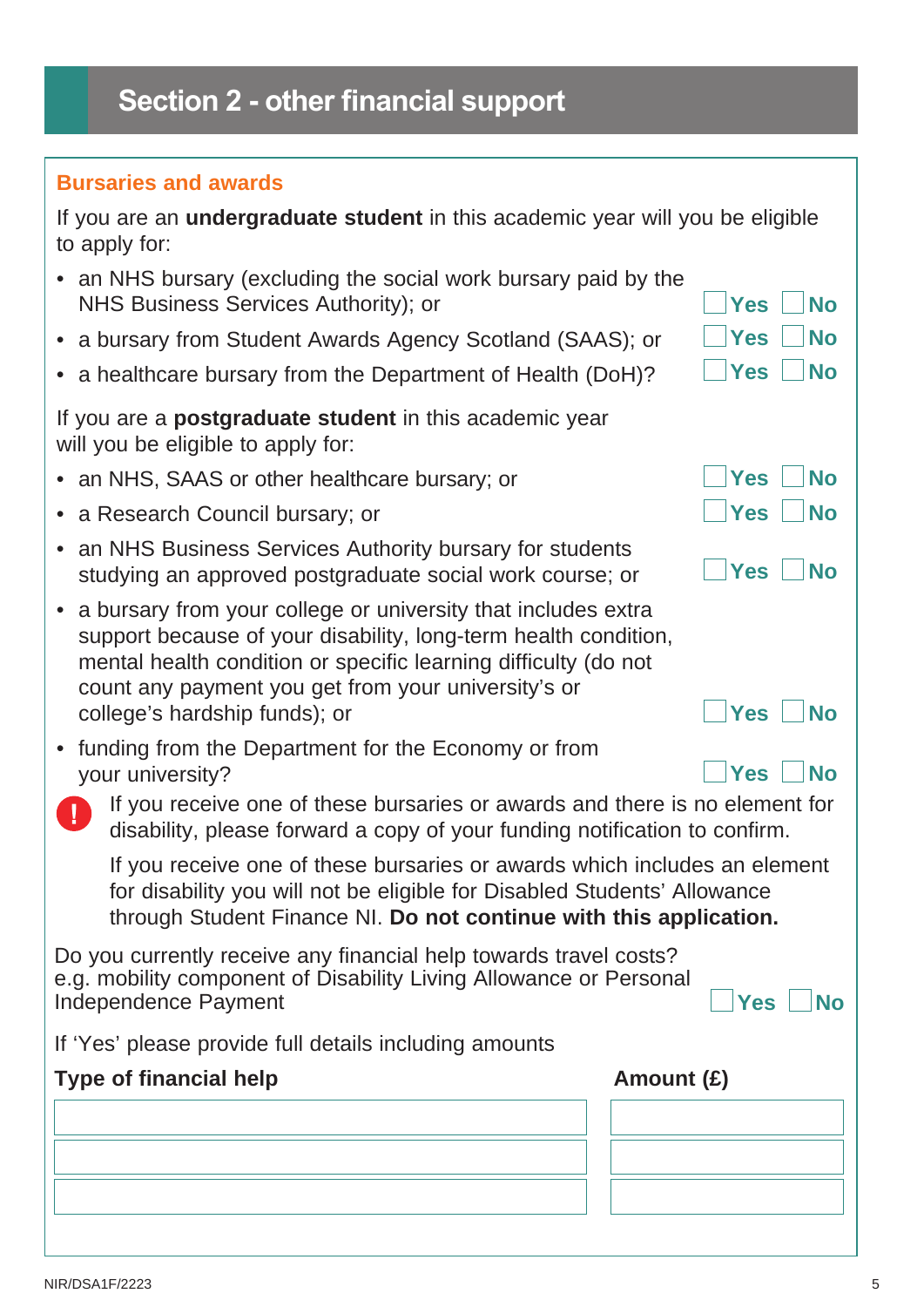# **Section 2 - other financial support**

### **Bursaries and awards**

|               | If you are an <b>undergraduate student</b> in this academic year will you be eligible |  |  |
|---------------|---------------------------------------------------------------------------------------|--|--|
| to apply for: |                                                                                       |  |  |

| to apply for:                                                                                                                                                                                                                                                                                                          |                         |  |  |  |  |
|------------------------------------------------------------------------------------------------------------------------------------------------------------------------------------------------------------------------------------------------------------------------------------------------------------------------|-------------------------|--|--|--|--|
| • an NHS bursary (excluding the social work bursary paid by the<br>NHS Business Services Authority); or                                                                                                                                                                                                                | <b>No</b><br><b>Yes</b> |  |  |  |  |
| • a bursary from Student Awards Agency Scotland (SAAS); or                                                                                                                                                                                                                                                             | <b>Yes</b><br><b>No</b> |  |  |  |  |
| a healthcare bursary from the Department of Health (DoH)?                                                                                                                                                                                                                                                              | <b>Yes</b><br><b>No</b> |  |  |  |  |
| If you are a <b>postgraduate student</b> in this academic year<br>will you be eligible to apply for:                                                                                                                                                                                                                   |                         |  |  |  |  |
| • an NHS, SAAS or other healthcare bursary; or                                                                                                                                                                                                                                                                         | <b>Yes</b><br><b>No</b> |  |  |  |  |
| • a Research Council bursary; or                                                                                                                                                                                                                                                                                       | <b>No</b><br><b>Yes</b> |  |  |  |  |
| an NHS Business Services Authority bursary for students<br>$\bullet$<br>studying an approved postgraduate social work course; or                                                                                                                                                                                       | <b>Yes</b><br><b>No</b> |  |  |  |  |
| a bursary from your college or university that includes extra<br>support because of your disability, long-term health condition,<br>mental health condition or specific learning difficulty (do not<br>count any payment you get from your university's or<br><b>Yes</b><br><b>No</b><br>college's hardship funds); or |                         |  |  |  |  |
| funding from the Department for the Economy or from<br>your university?                                                                                                                                                                                                                                                | <b>No</b><br><b>Yes</b> |  |  |  |  |
| If you receive one of these bursaries or awards and there is no element for<br>disability, please forward a copy of your funding notification to confirm.                                                                                                                                                              |                         |  |  |  |  |
| If you receive one of these bursaries or awards which includes an element<br>for disability you will not be eligible for Disabled Students' Allowance<br>through Student Finance NI. Do not continue with this application.                                                                                            |                         |  |  |  |  |
| Do you currently receive any financial help towards travel costs?<br>e.g. mobility component of Disability Living Allowance or Personal<br>Independence Payment                                                                                                                                                        | <b>Yes</b><br><b>No</b> |  |  |  |  |
| If 'Yes' please provide full details including amounts                                                                                                                                                                                                                                                                 |                         |  |  |  |  |
| <b>Type of financial help</b>                                                                                                                                                                                                                                                                                          | Amount $(E)$            |  |  |  |  |
|                                                                                                                                                                                                                                                                                                                        |                         |  |  |  |  |
|                                                                                                                                                                                                                                                                                                                        |                         |  |  |  |  |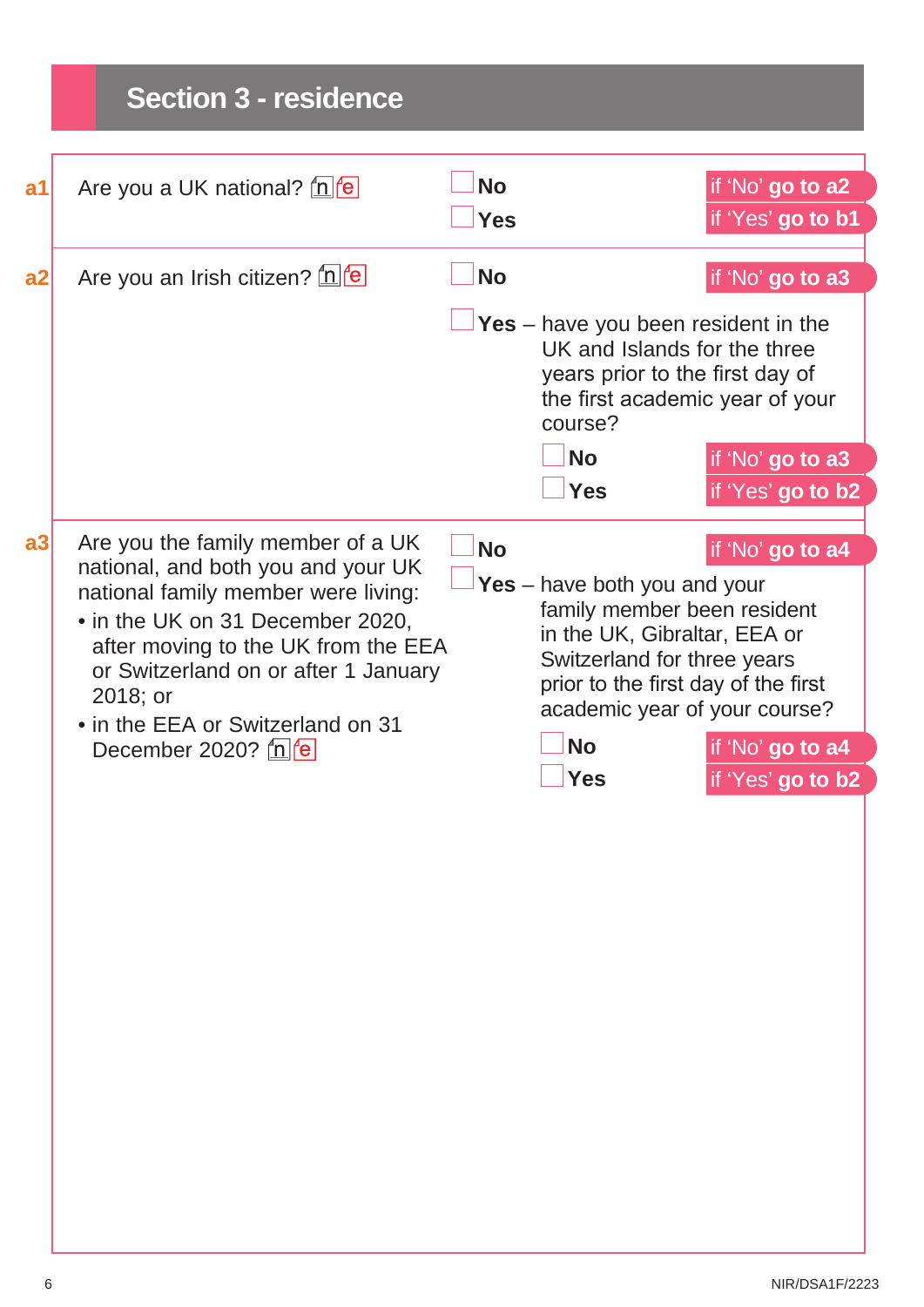# **Section 3 - residence**

| a <sub>1</sub> | Are you a UK national? $\ln  \mathbf{e} $                                                                                                                                                               | <b>No</b><br><b>Yes</b> |                                                                                                                                                                                                      | if 'No' go to a2<br>if 'Yes' go to b1 |
|----------------|---------------------------------------------------------------------------------------------------------------------------------------------------------------------------------------------------------|-------------------------|------------------------------------------------------------------------------------------------------------------------------------------------------------------------------------------------------|---------------------------------------|
| a2             | Are you an Irish citizen? [n] e                                                                                                                                                                         | <b>No</b>               |                                                                                                                                                                                                      | if 'No' go to a3                      |
|                |                                                                                                                                                                                                         |                         | <b>Yes</b> – have you been resident in the<br>UK and Islands for the three<br>years prior to the first day of<br>the first academic year of your<br>course?                                          |                                       |
|                |                                                                                                                                                                                                         |                         | <b>No</b>                                                                                                                                                                                            | if 'No' go to a3                      |
|                |                                                                                                                                                                                                         |                         | <b>Yes</b>                                                                                                                                                                                           | if 'Yes' go to b2                     |
| a3             | Are you the family member of a UK<br>national, and both you and your UK                                                                                                                                 | <b>No</b>               |                                                                                                                                                                                                      | if 'No' go to a4                      |
|                | national family member were living:<br>• in the UK on 31 December 2020,<br>after moving to the UK from the EEA<br>or Switzerland on or after 1 January<br>2018; or<br>• in the EEA or Switzerland on 31 |                         | Yes $-$ have both you and your<br>family member been resident<br>in the UK, Gibraltar, EEA or<br>Switzerland for three years<br>prior to the first day of the first<br>academic year of your course? |                                       |
|                | December 2020? $\ln  \mathbf{e} $                                                                                                                                                                       |                         | <b>No</b>                                                                                                                                                                                            | if 'No' go to a4                      |
|                |                                                                                                                                                                                                         |                         | <b>Yes</b>                                                                                                                                                                                           | if 'Yes' go to b2                     |
|                |                                                                                                                                                                                                         |                         |                                                                                                                                                                                                      |                                       |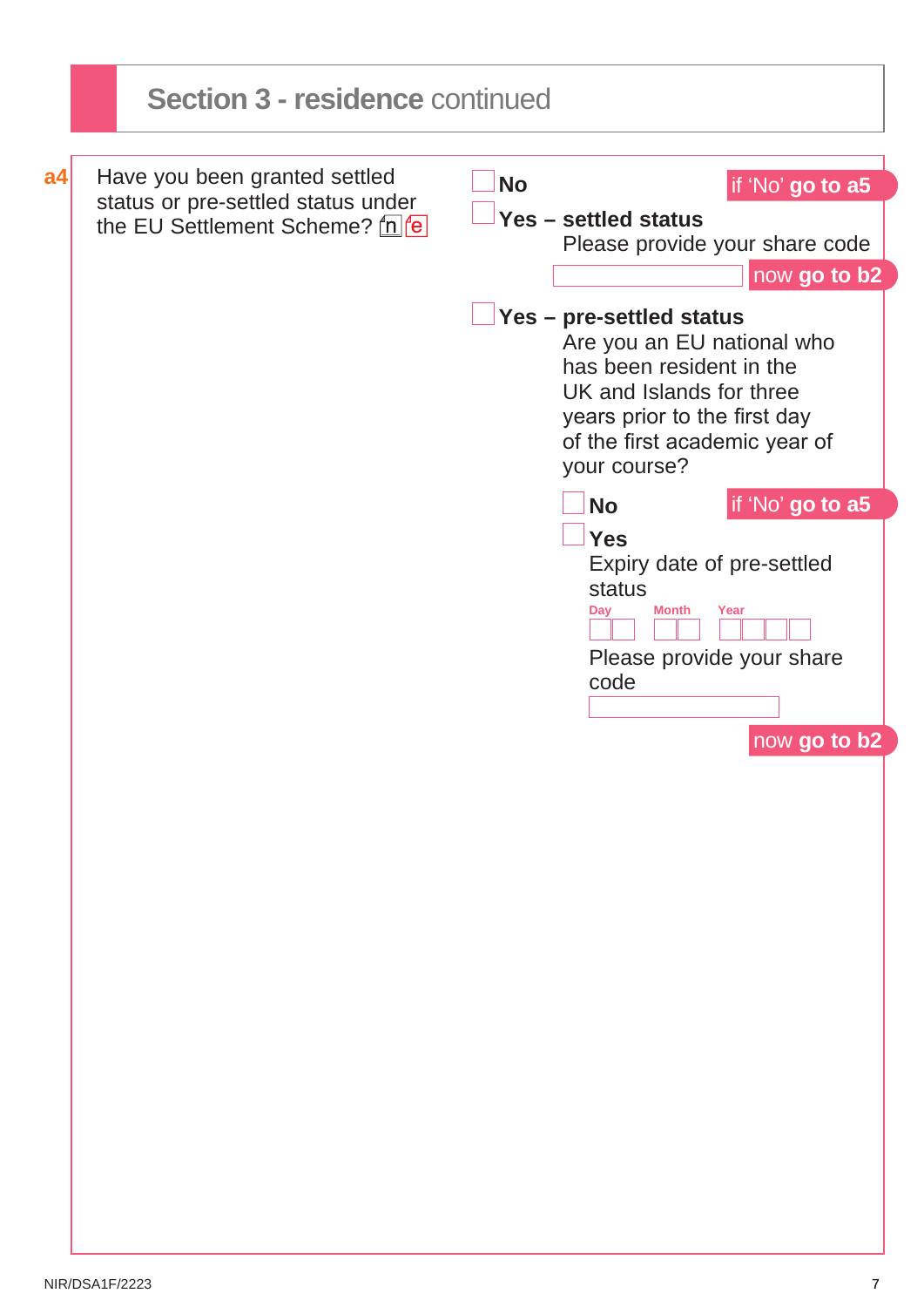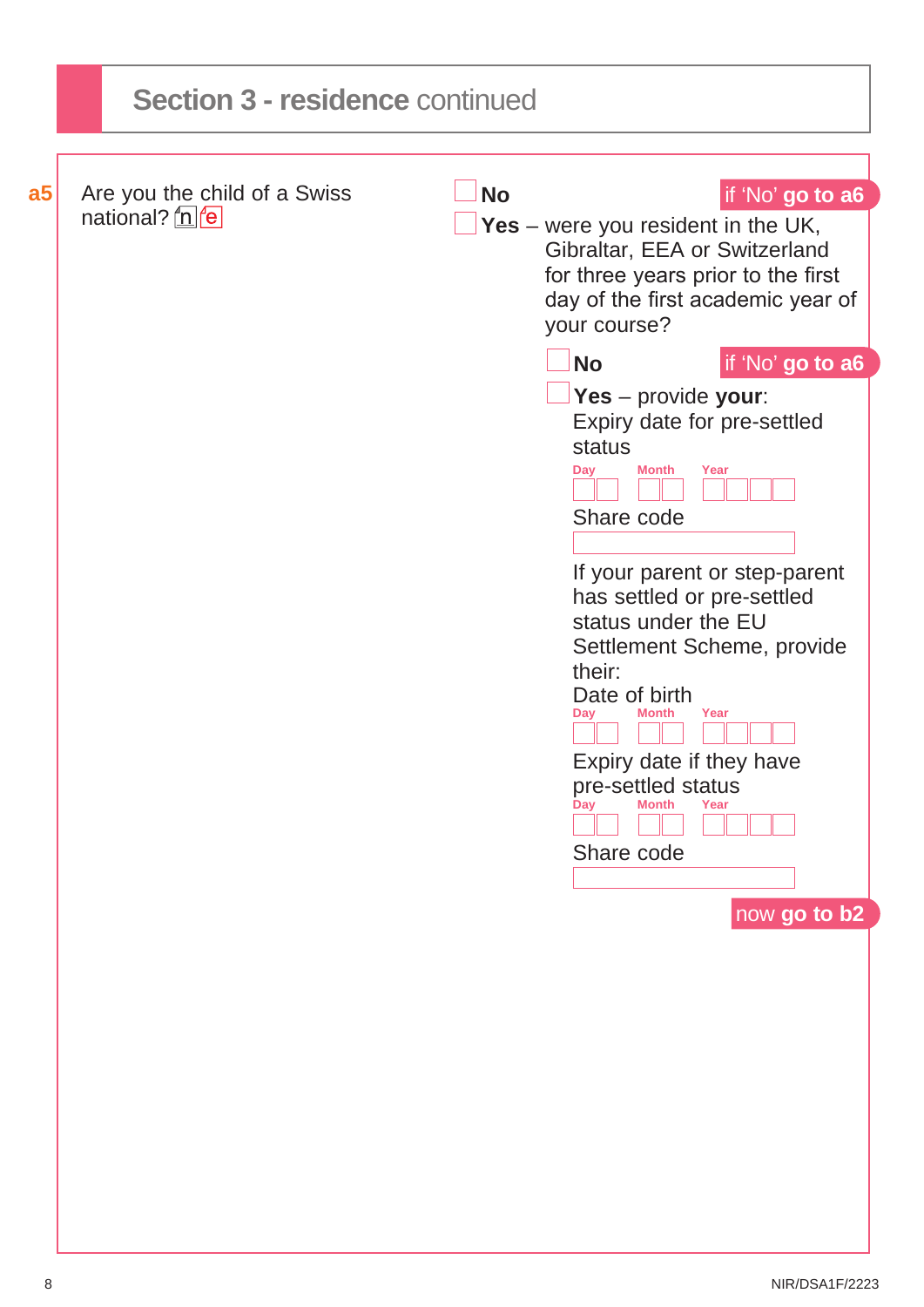|                | <b>Section 3 - residence continued</b>               |           |                                                                                                                                                                                                                     |  |  |  |
|----------------|------------------------------------------------------|-----------|---------------------------------------------------------------------------------------------------------------------------------------------------------------------------------------------------------------------|--|--|--|
|                |                                                      |           |                                                                                                                                                                                                                     |  |  |  |
| a <sub>5</sub> | Are you the child of a Swiss<br>national? <u>n</u> e | <b>No</b> | if 'No' go to a6<br>Yes – were you resident in the UK,<br>Gibraltar, EEA or Switzerland<br>for three years prior to the first<br>day of the first academic year of<br>your course?<br>if 'No' go to a6<br><b>No</b> |  |  |  |
|                |                                                      |           | Yes - provide your:<br>Expiry date for pre-settled<br>status<br><b>Month</b><br>Year<br>Day<br>Share code<br>If your parent or step-parent                                                                          |  |  |  |
|                |                                                      |           | has settled or pre-settled<br>status under the EU<br>Settlement Scheme, provide<br>their:<br>Date of birth<br>Year<br><b>Month</b><br>Dav<br>Expiry date if they have                                               |  |  |  |
|                |                                                      |           | pre-settled status<br><b>Month</b><br>Year<br>Day<br>Share code<br>now go to b2                                                                                                                                     |  |  |  |
|                |                                                      |           |                                                                                                                                                                                                                     |  |  |  |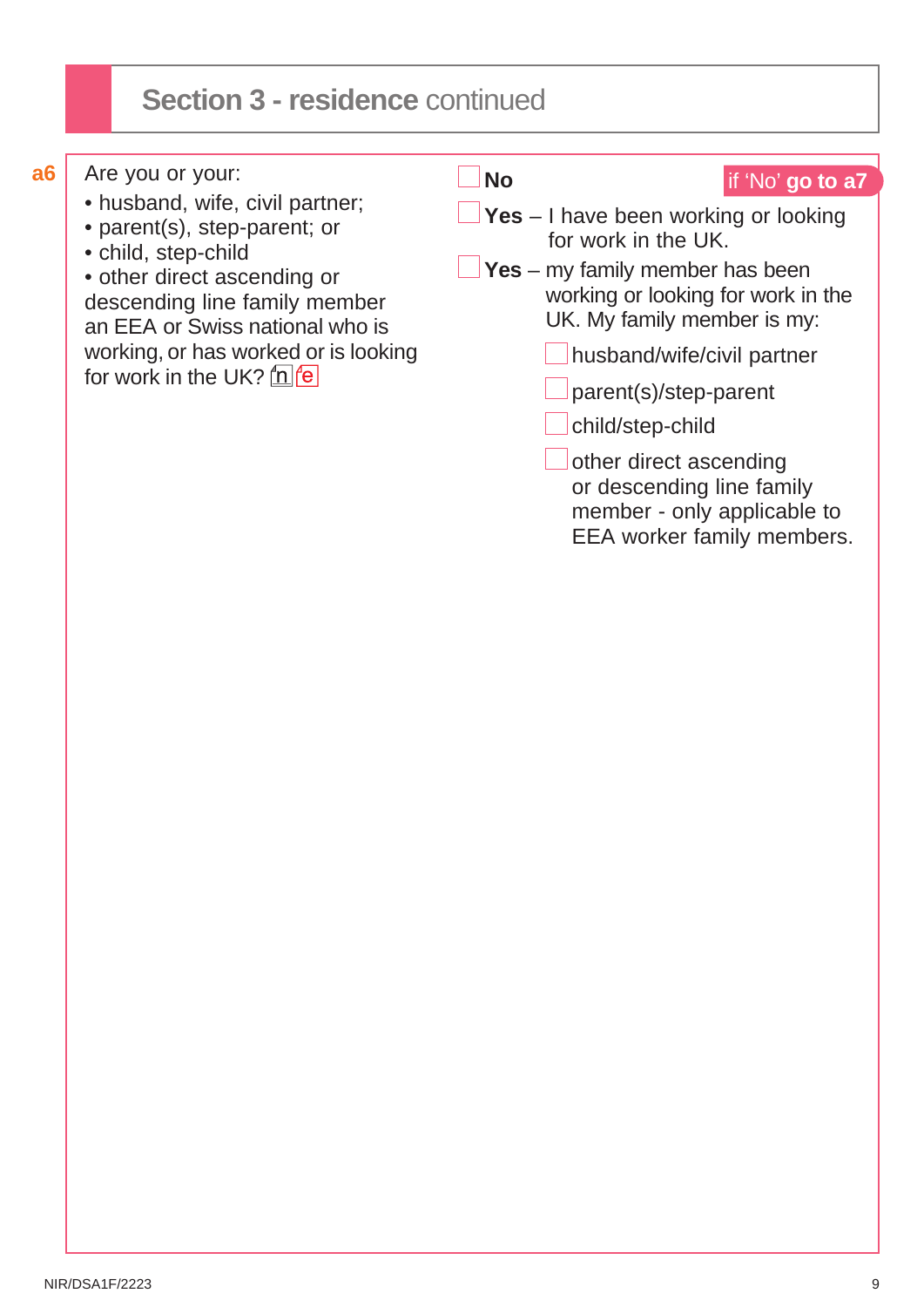# **Section 3 - residence** continued

| а6                                                                                                                                                                                                                                                                | Are you or your: | <b>No</b>                  | if 'No' go to a7                                                                                                                                                                          |
|-------------------------------------------------------------------------------------------------------------------------------------------------------------------------------------------------------------------------------------------------------------------|------------------|----------------------------|-------------------------------------------------------------------------------------------------------------------------------------------------------------------------------------------|
| • husband, wife, civil partner;<br>• parent(s), step-parent; or<br>• child, step-child<br>• other direct ascending or<br>descending line family member<br>an EEA or Swiss national who is<br>working, or has worked or is looking<br>for work in the UK? $n \neq$ |                  |                            | $\blacksquare$ Yes - I have been working or looking<br>for work in the UK.<br><b>Yes</b> – my family member has been<br>working or looking for work in the<br>UK. My family member is my: |
|                                                                                                                                                                                                                                                                   |                  | husband/wife/civil partner |                                                                                                                                                                                           |
|                                                                                                                                                                                                                                                                   |                  |                            | parent(s)/step-parent                                                                                                                                                                     |
|                                                                                                                                                                                                                                                                   |                  |                            | child/step-child                                                                                                                                                                          |
|                                                                                                                                                                                                                                                                   |                  |                            | other direct ascending<br>or descending line family<br>member - only applicable to<br>EEA worker family members.                                                                          |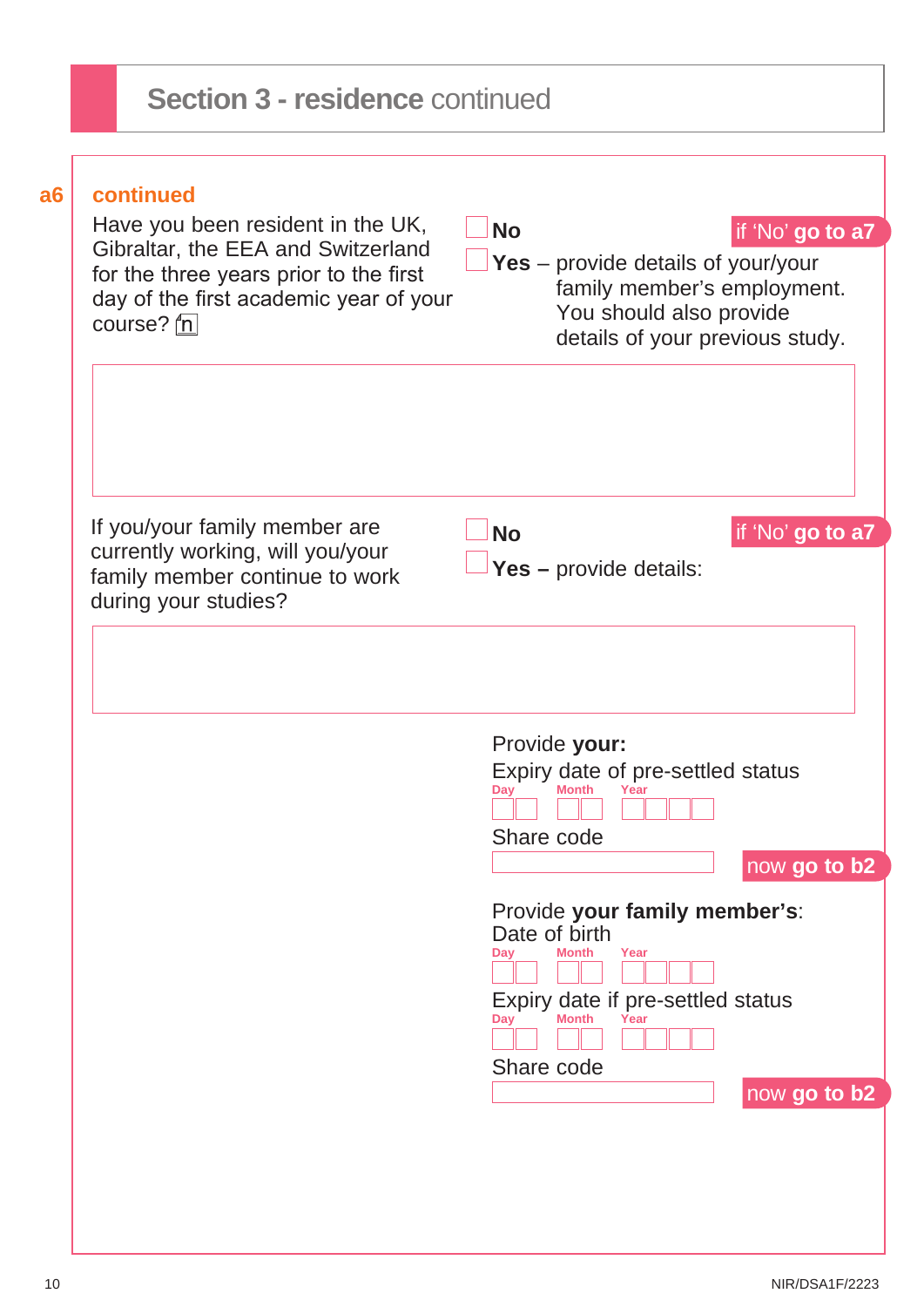| a6 | continued<br>Have you been resident in the UK,<br>Gibraltar, the EEA and Switzerland<br>for the three years prior to the first<br>day of the first academic year of your<br>course? $n$ | <b>No</b><br>if 'No' go to a7<br>Yes – provide details of your/your<br>family member's employment.<br>You should also provide<br>details of your previous study. |
|----|-----------------------------------------------------------------------------------------------------------------------------------------------------------------------------------------|------------------------------------------------------------------------------------------------------------------------------------------------------------------|
|    | If you/your family member are<br>currently working, will you/your<br>family member continue to work<br>during your studies?                                                             | if 'No' go to a7<br><b>No</b><br>Yes - provide details:                                                                                                          |
|    |                                                                                                                                                                                         | Provide your:<br>Expiry date of pre-settled status<br>Dav<br>Share code<br>now go to b2<br>Provide your family member's:<br>Date of birth                        |
|    |                                                                                                                                                                                         | Day<br><b>Month</b><br>Year<br>Expiry date if pre-settled status<br>Day<br>Month<br>Year<br>Share code<br>now go to b2                                           |

I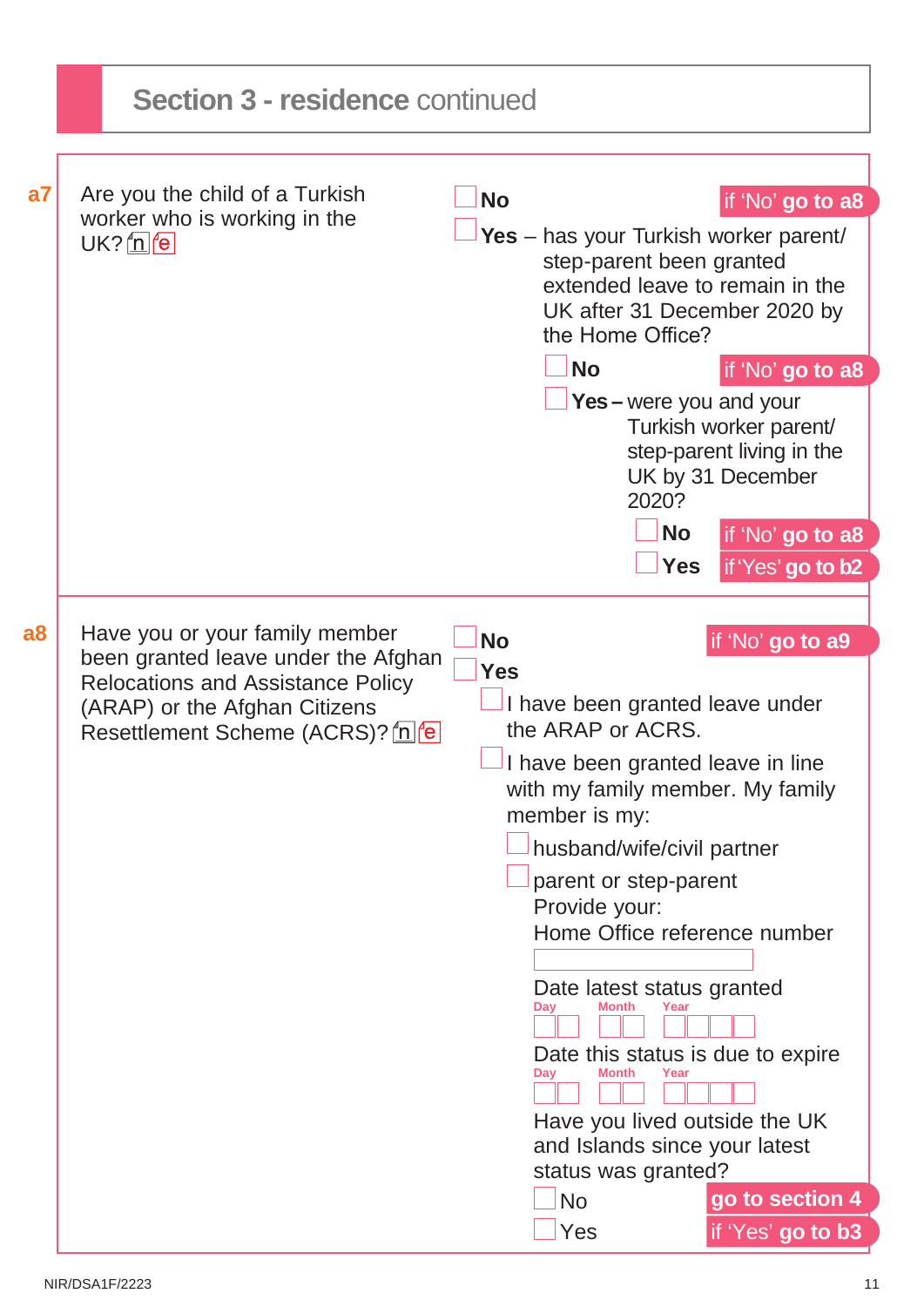|    | <b>Section 3 - residence continued</b>                                                                                                                                                  |                         |                                                                                                                                                                                                                                                                                                                                                                                                                                                                                               |                                                                                                                                                           |
|----|-----------------------------------------------------------------------------------------------------------------------------------------------------------------------------------------|-------------------------|-----------------------------------------------------------------------------------------------------------------------------------------------------------------------------------------------------------------------------------------------------------------------------------------------------------------------------------------------------------------------------------------------------------------------------------------------------------------------------------------------|-----------------------------------------------------------------------------------------------------------------------------------------------------------|
| a7 | Are you the child of a Turkish<br>worker who is working in the<br>$UK?$ $n$ $e$                                                                                                         | <b>No</b>               | Yes - has your Turkish worker parent/<br>step-parent been granted<br>extended leave to remain in the<br>UK after 31 December 2020 by<br>the Home Office?<br><b>No</b><br><b>Yes</b> – were you and your<br>2020?<br><b>No</b><br><b>Yes</b>                                                                                                                                                                                                                                                   | if 'No' go to a8<br>if 'No' go to a8<br>Turkish worker parent/<br>step-parent living in the<br>UK by 31 December<br>if 'No' go to a8<br>if 'Yes' go to b2 |
| a8 | Have you or your family member<br>been granted leave under the Afghan<br><b>Relocations and Assistance Policy</b><br>(ARAP) or the Afghan Citizens<br>Resettlement Scheme (ACRS)? [n] e | <b>No</b><br><b>Yes</b> | I have been granted leave under<br>the ARAP or ACRS.<br>$\Box$ I have been granted leave in line<br>with my family member. My family<br>member is my:<br>husband/wife/civil partner<br>parent or step-parent<br>Provide your:<br>Home Office reference number<br>Date latest status granted<br>Month<br>Day<br>Year<br>Date this status is due to expire<br>Day<br>Month<br>Year<br>Have you lived outside the UK<br>and Islands since your latest<br>status was granted?<br><b>No</b><br>Yes | if 'No' go to a9<br>go to section 4<br>if 'Yes' go to b3                                                                                                  |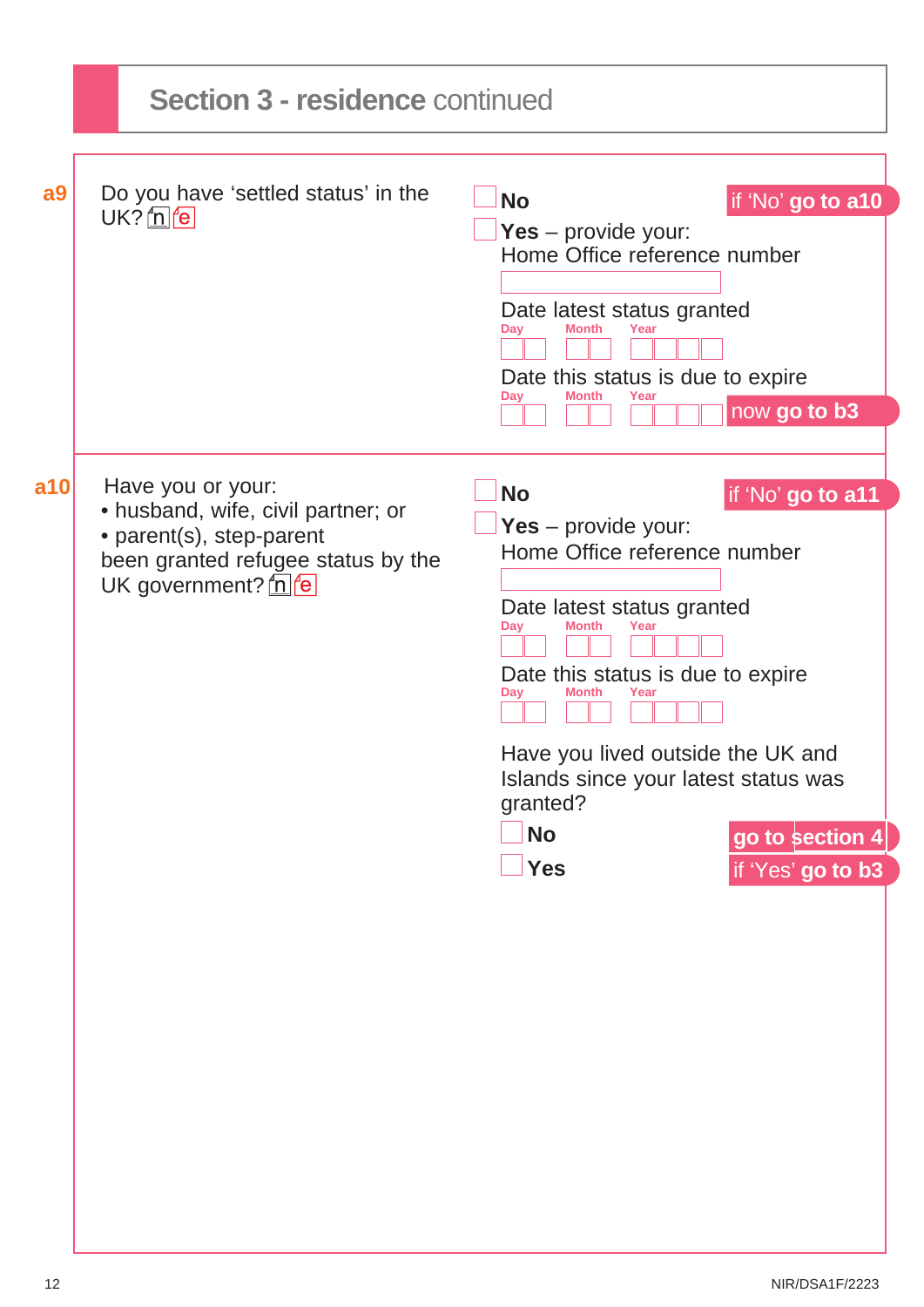|                | <b>Section 3 - residence continued</b>                                                                                                               |                                                                                                                                                                                                                                                                                                                                                                             |
|----------------|------------------------------------------------------------------------------------------------------------------------------------------------------|-----------------------------------------------------------------------------------------------------------------------------------------------------------------------------------------------------------------------------------------------------------------------------------------------------------------------------------------------------------------------------|
| a <sub>9</sub> | Do you have 'settled status' in the<br>$UK?$ $n$ $e$                                                                                                 | <b>No</b><br>if 'No' go to a10<br>Yes – provide your:<br>Home Office reference number<br>Date latest status granted<br><b>Month</b><br>Day<br>Year<br>Date this status is due to expire<br>Month<br>Day<br>Year<br>now go to b3                                                                                                                                             |
| a10            | Have you or your:<br>• husband, wife, civil partner; or<br>• parent(s), step-parent<br>been granted refugee status by the<br>UK government? $n \neq$ | <b>No</b><br>if 'No' go to a11<br>Yes – provide your:<br>Home Office reference number<br>Date latest status granted<br>Month<br>Day<br>Year<br>Date this status is due to expire<br><b>Month</b><br>Day<br>Year<br>Have you lived outside the UK and<br>Islands since your latest status was<br>granted?<br><b>No</b><br>go to section 4<br><b>Yes</b><br>if 'Yes' go to b3 |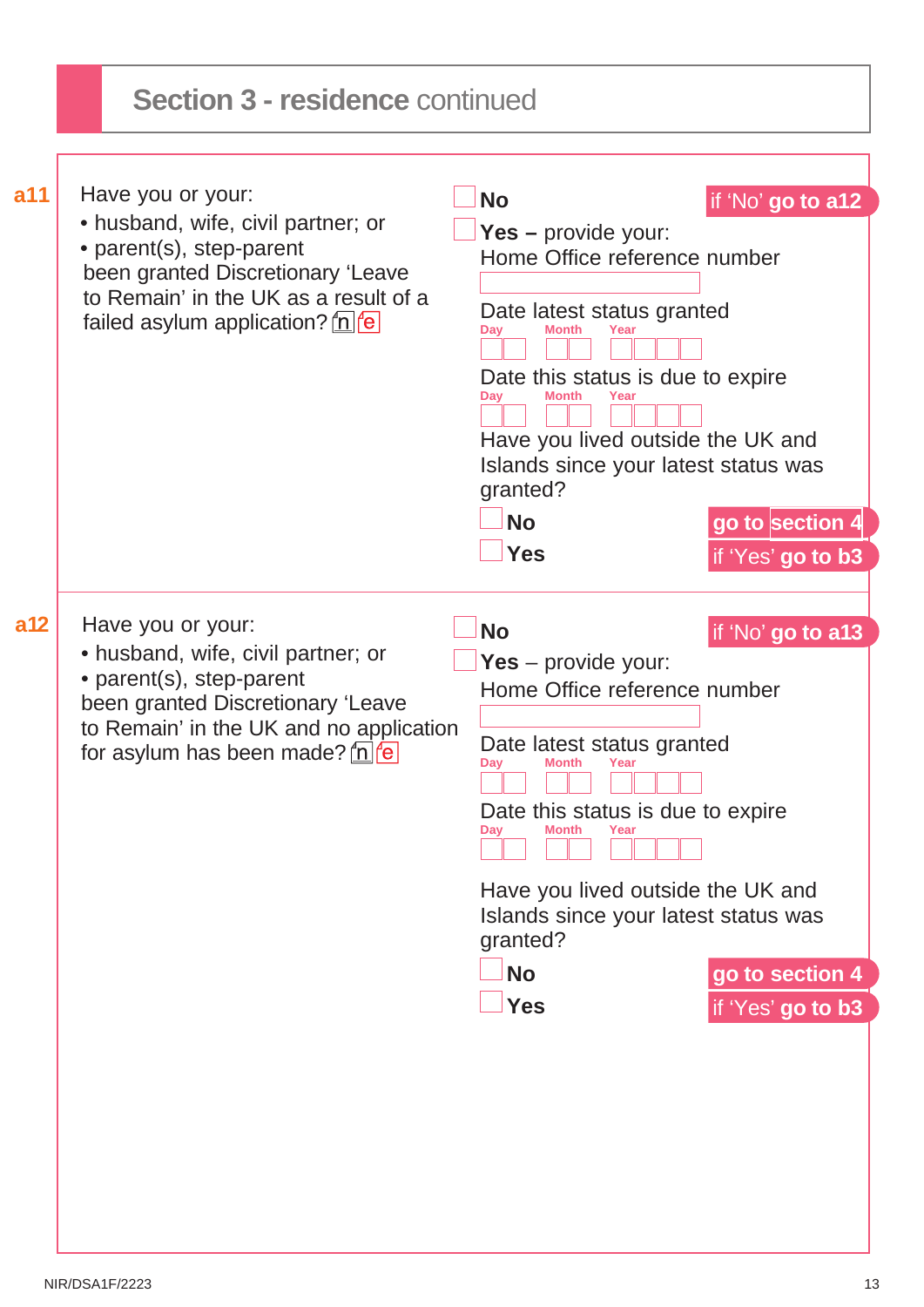| a11             | Have you or your:                                                                                                                                                                               |                                                                                                                                                                                                                                                                                                   |                                      |
|-----------------|-------------------------------------------------------------------------------------------------------------------------------------------------------------------------------------------------|---------------------------------------------------------------------------------------------------------------------------------------------------------------------------------------------------------------------------------------------------------------------------------------------------|--------------------------------------|
|                 | • husband, wife, civil partner; or<br>• parent(s), step-parent<br>been granted Discretionary 'Leave<br>to Remain' in the UK as a result of a<br>failed asylum application? $n e$                | <b>No</b><br>Yes - provide your:<br>Home Office reference number<br>Date latest status granted<br>Month<br>Day<br>Year<br>Date this status is due to expire<br>Day<br>Month<br>Have you lived outside the UK and<br>Islands since your latest status was<br>granted?<br><b>No</b><br><b>Yes</b>   | if 'No' go to a12<br>go to section 4 |
|                 |                                                                                                                                                                                                 |                                                                                                                                                                                                                                                                                                   | if 'Yes' go to b3                    |
| a <sub>12</sub> | Have you or your:                                                                                                                                                                               | <b>No</b>                                                                                                                                                                                                                                                                                         | if 'No' go to a13                    |
|                 | • husband, wife, civil partner; or<br>• parent(s), step-parent<br>been granted Discretionary 'Leave<br>to Remain' in the UK and no application<br>for asylum has been made? $\underline{\ln}$ e | Yes – provide your:<br>Home Office reference number<br>Date latest status granted<br>Dav<br>Month<br>Year<br>Date this status is due to expire<br><b>Month</b><br>Year<br>Dav<br>Have you lived outside the UK and<br>Islands since your latest status was<br>granted?<br><b>No</b><br><b>Yes</b> | go to section 4<br>if 'Yes' go to b3 |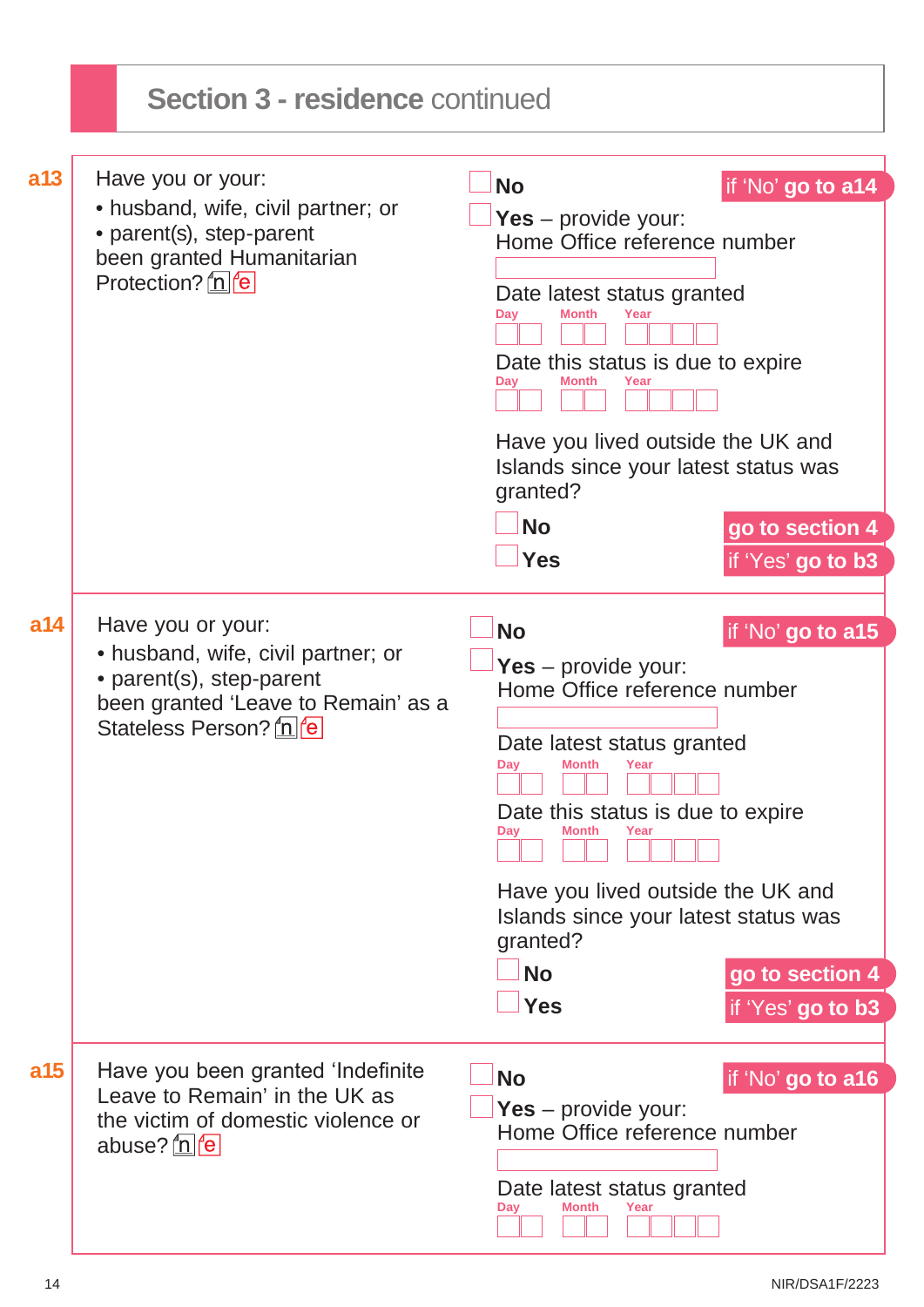|     | <b>Section 3 - residence continued</b>                                                                                                              |                                                                                                                                                                                                                                                                                                                       |                                                           |
|-----|-----------------------------------------------------------------------------------------------------------------------------------------------------|-----------------------------------------------------------------------------------------------------------------------------------------------------------------------------------------------------------------------------------------------------------------------------------------------------------------------|-----------------------------------------------------------|
| a13 | Have you or your:<br>• husband, wife, civil partner; or<br>• parent(s), step-parent<br>been granted Humanitarian<br>Protection? n e                 | <b>No</b><br>Yes – provide your:<br>Home Office reference number<br>Date latest status granted<br><b>Month</b><br>Year<br>Day<br>Date this status is due to expire<br>Day<br>Month<br>Have you lived outside the UK and<br>Islands since your latest status was<br>granted?<br><b>No</b><br><b>Yes</b>                | if 'No' go to a14<br>go to section 4<br>if 'Yes' go to b3 |
| a14 | Have you or your:<br>• husband, wife, civil partner; or<br>• parent(s), step-parent<br>been granted 'Leave to Remain' as a<br>Stateless Person? n e | <b>No</b><br>Yes – provide your:<br>Home Office reference number<br>Date latest status granted<br>Day<br><b>Month</b><br>Year<br>Date this status is due to expire<br><b>Month</b><br>Dav<br>Year<br>Have you lived outside the UK and<br>Islands since your latest status was<br>granted?<br><b>No</b><br><b>Yes</b> | if 'No' go to a15<br>go to section 4<br>if 'Yes' go to b3 |
| a15 | Have you been granted 'Indefinite<br>Leave to Remain' in the UK as<br>the victim of domestic violence or<br>abuse? <u>n</u> e                       | <b>No</b><br>Yes – provide your:<br>Home Office reference number<br>Date latest status granted<br>Month<br>Day<br>Year                                                                                                                                                                                                | if 'No' go to a16                                         |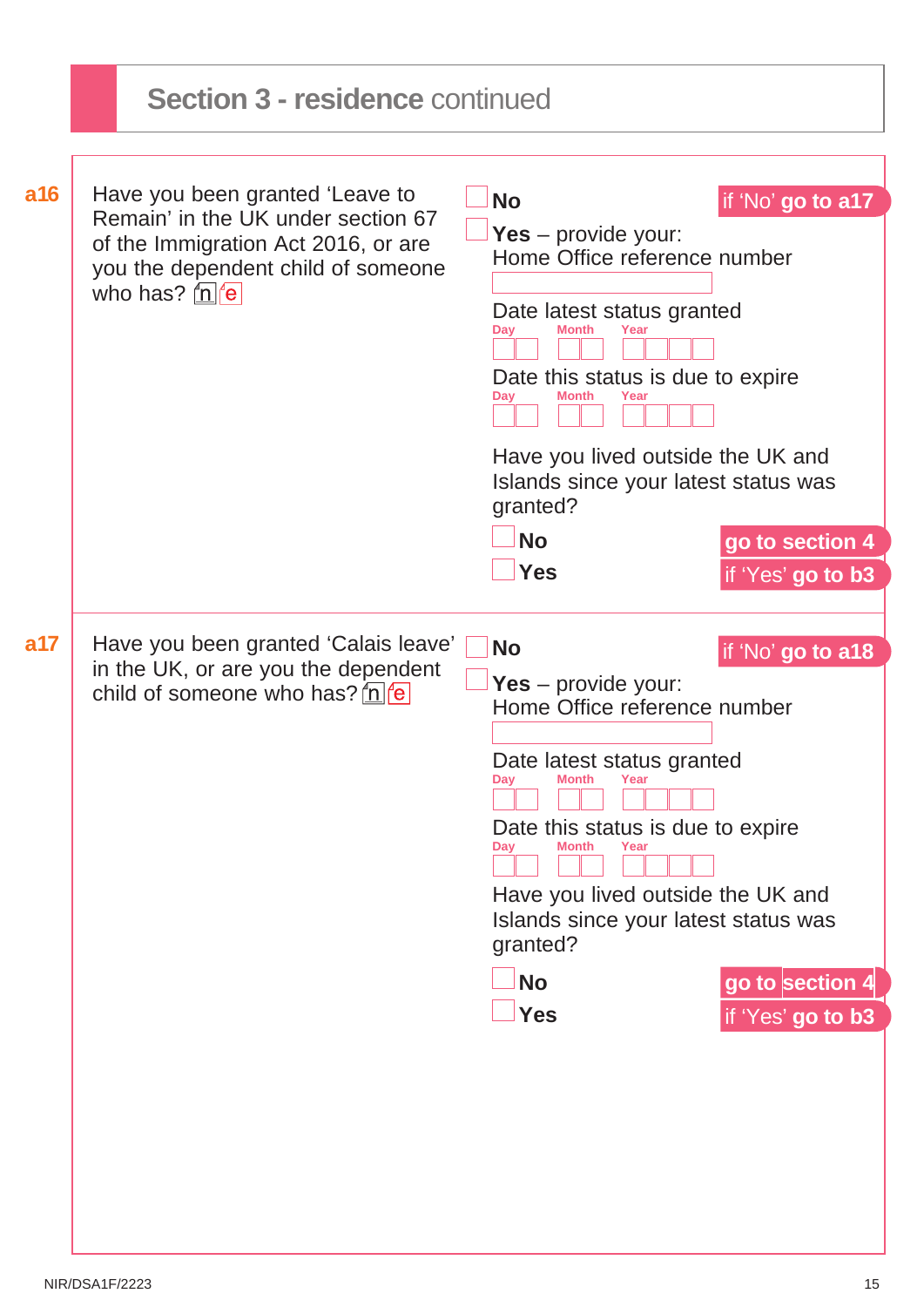|     | <b>Section 3 - residence continued</b>                                                                                                             |                                                                                                         |                   |  |
|-----|----------------------------------------------------------------------------------------------------------------------------------------------------|---------------------------------------------------------------------------------------------------------|-------------------|--|
|     |                                                                                                                                                    |                                                                                                         |                   |  |
| a16 | Have you been granted 'Leave to<br>Remain' in the UK under section 67<br>of the Immigration Act 2016, or are<br>you the dependent child of someone | <b>No</b><br>Yes – provide your:<br>Home Office reference number                                        | if 'No' go to a17 |  |
|     | who has? $\ln  e $                                                                                                                                 | Date latest status granted<br>Month<br>Day<br>Date this status is due to expire<br>Month<br>Day<br>Year |                   |  |
|     |                                                                                                                                                    | Have you lived outside the UK and<br>Islands since your latest status was<br>granted?                   |                   |  |
|     |                                                                                                                                                    | <b>No</b>                                                                                               | go to section 4   |  |
|     |                                                                                                                                                    | <b>Yes</b>                                                                                              | if 'Yes' go to b3 |  |
| a17 | Have you been granted 'Calais leave'                                                                                                               | <b>No</b>                                                                                               | if 'No' go to a18 |  |
|     | in the UK, or are you the dependent<br>child of someone who has? $n \leq \frac{1}{2}$                                                              | Yes – provide your:<br>Home Office reference number                                                     |                   |  |
|     |                                                                                                                                                    | Date latest status granted<br>Day<br>Month<br>Year                                                      |                   |  |
|     |                                                                                                                                                    | Date this status is due to expire<br>Month<br>Day<br>Year                                               |                   |  |
|     |                                                                                                                                                    | Have you lived outside the UK and<br>Islands since your latest status was<br>granted?                   |                   |  |
|     |                                                                                                                                                    | <b>No</b>                                                                                               | go to section 4   |  |
|     |                                                                                                                                                    | <b>Yes</b>                                                                                              | if 'Yes' go to b3 |  |
|     |                                                                                                                                                    |                                                                                                         |                   |  |
|     |                                                                                                                                                    |                                                                                                         |                   |  |
|     |                                                                                                                                                    |                                                                                                         |                   |  |
|     |                                                                                                                                                    |                                                                                                         |                   |  |
|     |                                                                                                                                                    |                                                                                                         |                   |  |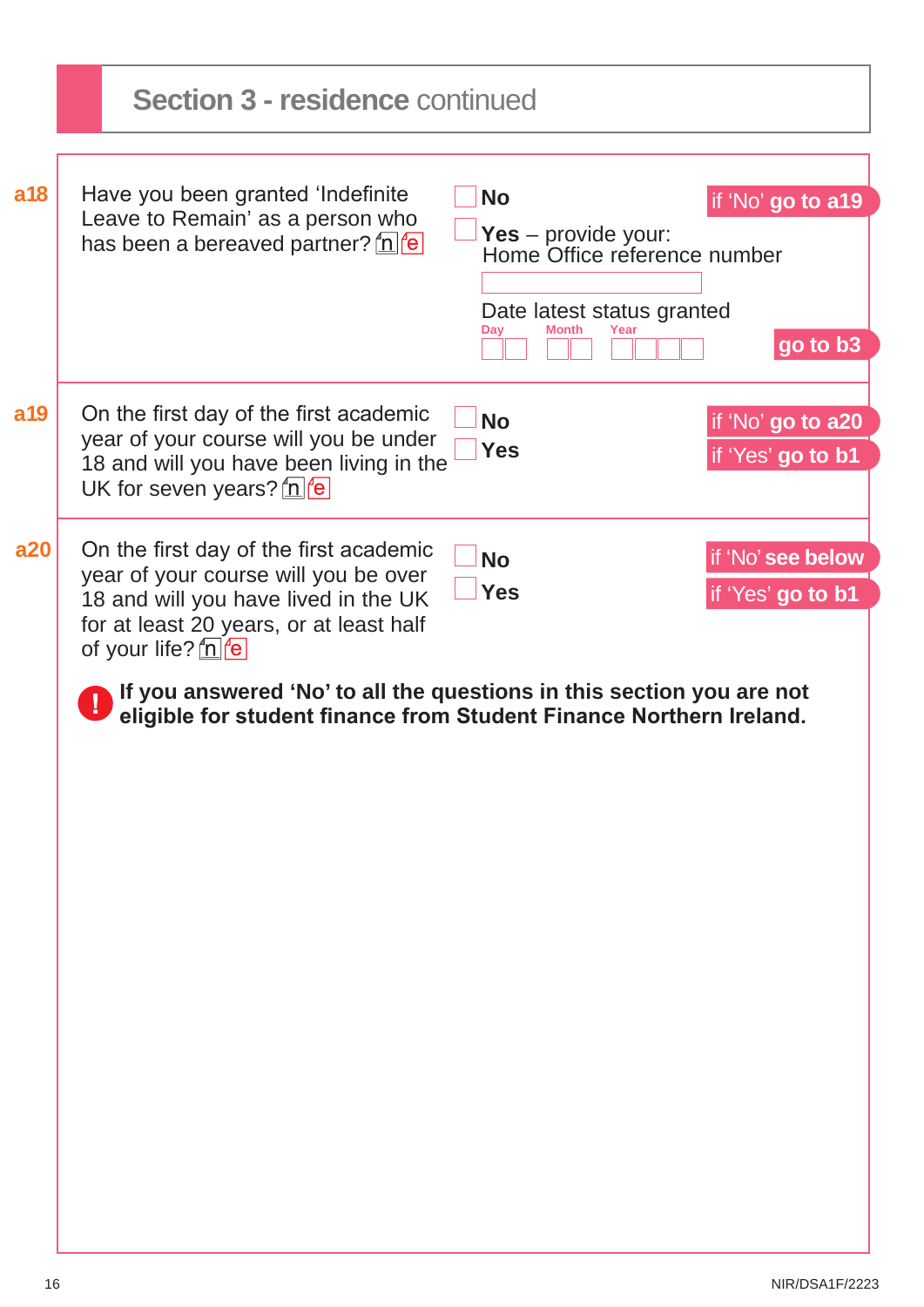|  | <b>No</b><br>Yes $-$ provide your:<br>Month<br>Dav<br>Year                                                                                                                                                                                                                                                                                                                                                                               | if 'No' go to a19<br>go to b3                                                                                                                                                                                                                                                                                |
|--|------------------------------------------------------------------------------------------------------------------------------------------------------------------------------------------------------------------------------------------------------------------------------------------------------------------------------------------------------------------------------------------------------------------------------------------|--------------------------------------------------------------------------------------------------------------------------------------------------------------------------------------------------------------------------------------------------------------------------------------------------------------|
|  | <b>No</b><br><b>Yes</b>                                                                                                                                                                                                                                                                                                                                                                                                                  | if 'No' go to a20<br>if 'Yes' go to b1                                                                                                                                                                                                                                                                       |
|  |                                                                                                                                                                                                                                                                                                                                                                                                                                          | if 'No' see below                                                                                                                                                                                                                                                                                            |
|  | <b>Yes</b>                                                                                                                                                                                                                                                                                                                                                                                                                               | if 'Yes' go to b1                                                                                                                                                                                                                                                                                            |
|  |                                                                                                                                                                                                                                                                                                                                                                                                                                          |                                                                                                                                                                                                                                                                                                              |
|  |                                                                                                                                                                                                                                                                                                                                                                                                                                          |                                                                                                                                                                                                                                                                                                              |
|  |                                                                                                                                                                                                                                                                                                                                                                                                                                          |                                                                                                                                                                                                                                                                                                              |
|  |                                                                                                                                                                                                                                                                                                                                                                                                                                          |                                                                                                                                                                                                                                                                                                              |
|  |                                                                                                                                                                                                                                                                                                                                                                                                                                          |                                                                                                                                                                                                                                                                                                              |
|  |                                                                                                                                                                                                                                                                                                                                                                                                                                          |                                                                                                                                                                                                                                                                                                              |
|  |                                                                                                                                                                                                                                                                                                                                                                                                                                          |                                                                                                                                                                                                                                                                                                              |
|  |                                                                                                                                                                                                                                                                                                                                                                                                                                          |                                                                                                                                                                                                                                                                                                              |
|  |                                                                                                                                                                                                                                                                                                                                                                                                                                          |                                                                                                                                                                                                                                                                                                              |
|  |                                                                                                                                                                                                                                                                                                                                                                                                                                          |                                                                                                                                                                                                                                                                                                              |
|  |                                                                                                                                                                                                                                                                                                                                                                                                                                          |                                                                                                                                                                                                                                                                                                              |
|  |                                                                                                                                                                                                                                                                                                                                                                                                                                          |                                                                                                                                                                                                                                                                                                              |
|  |                                                                                                                                                                                                                                                                                                                                                                                                                                          |                                                                                                                                                                                                                                                                                                              |
|  | Have you been granted 'Indefinite'<br>Leave to Remain' as a person who<br>has been a bereaved partner? $\ln  e $<br>On the first day of the first academic<br>year of your course will you be under<br>UK for seven years? $n \epsilon$<br>On the first day of the first academic<br>year of your course will you be over<br>18 and will you have lived in the UK<br>for at least 20 years, or at least half<br>of your life? $n \neq 0$ | <b>Section 3 - residence continued</b><br>Home Office reference number<br>Date latest status granted<br>18 and will you have been living in the<br><b>No</b><br>If you answered 'No' to all the questions in this section you are not<br>eligible for student finance from Student Finance Northern Ireland. |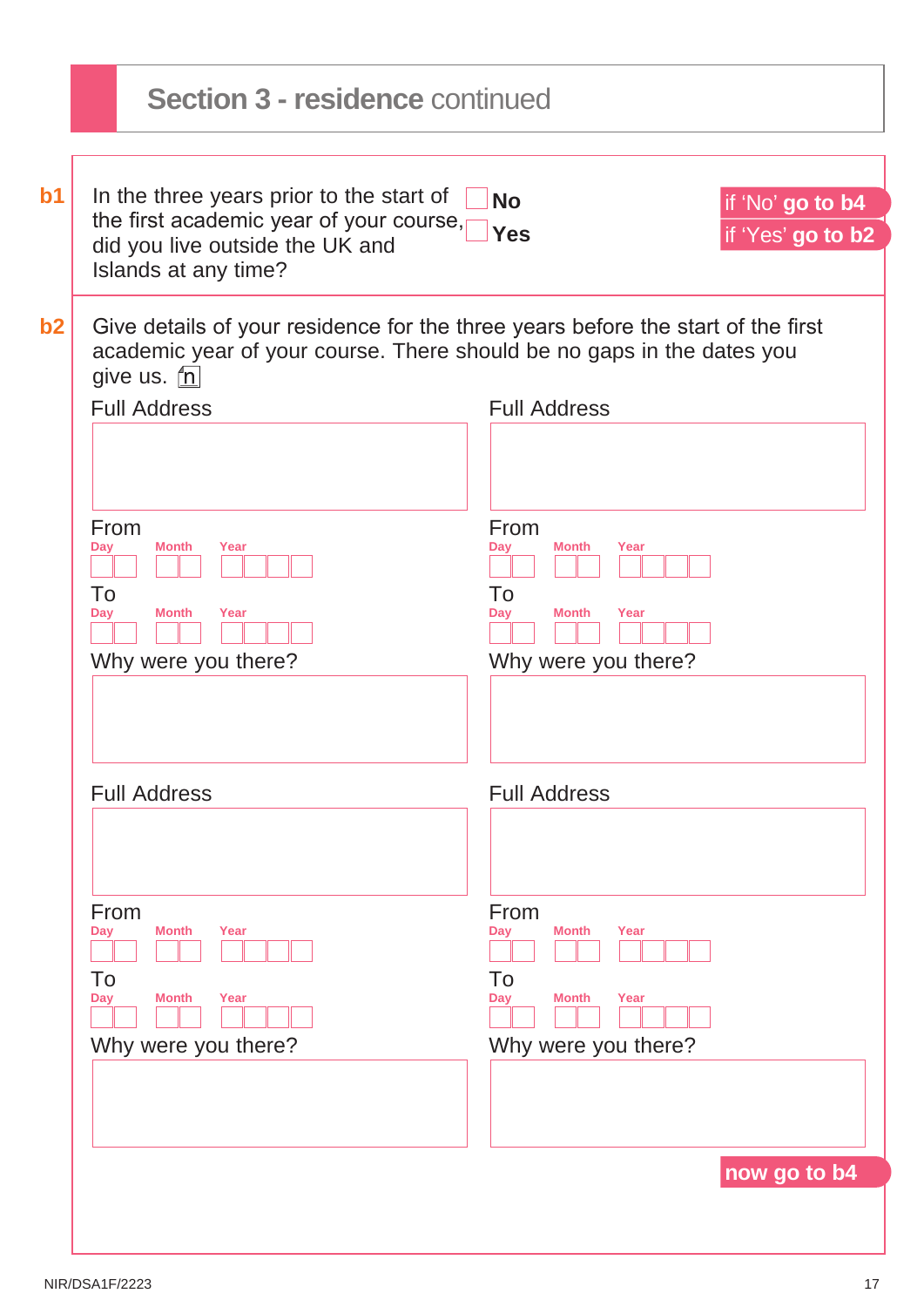|                                 | <b>Section 3 - residence continued</b>                                                                                                                                                                                                                                  |                                                                                                                        |                                       |
|---------------------------------|-------------------------------------------------------------------------------------------------------------------------------------------------------------------------------------------------------------------------------------------------------------------------|------------------------------------------------------------------------------------------------------------------------|---------------------------------------|
| $b1$                            | In the three years prior to the start of<br>the first academic year of your course,<br>did you live outside the UK and<br>Islands at any time?                                                                                                                          | <b>No</b><br><b>Yes</b>                                                                                                | if 'No' go to b4<br>if 'Yes' go to b2 |
| b2<br>From<br>Day<br>To<br>Day  | Give details of your residence for the three years before the start of the first<br>academic year of your course. There should be no gaps in the dates you<br>give us. <u>fn</u><br><b>Full Address</b><br>Month<br>Year<br><b>Month</b><br>Year<br>Why were you there? | <b>Full Address</b><br>From<br>Day<br><b>Month</b><br>Year<br>To<br><b>Month</b><br>Year<br>Dav<br>Why were you there? |                                       |
|                                 | <b>Full Address</b>                                                                                                                                                                                                                                                     | <b>Full Address</b>                                                                                                    |                                       |
| From<br><b>Day</b><br>To<br>Day | <b>Month</b><br>Year<br><b>Month</b><br>Year<br>Why were you there?                                                                                                                                                                                                     | From<br><b>Month</b><br>Year<br>Day<br>To<br><b>Month</b><br>Year<br>Day<br>Why were you there?                        |                                       |
|                                 |                                                                                                                                                                                                                                                                         |                                                                                                                        | now go to b4                          |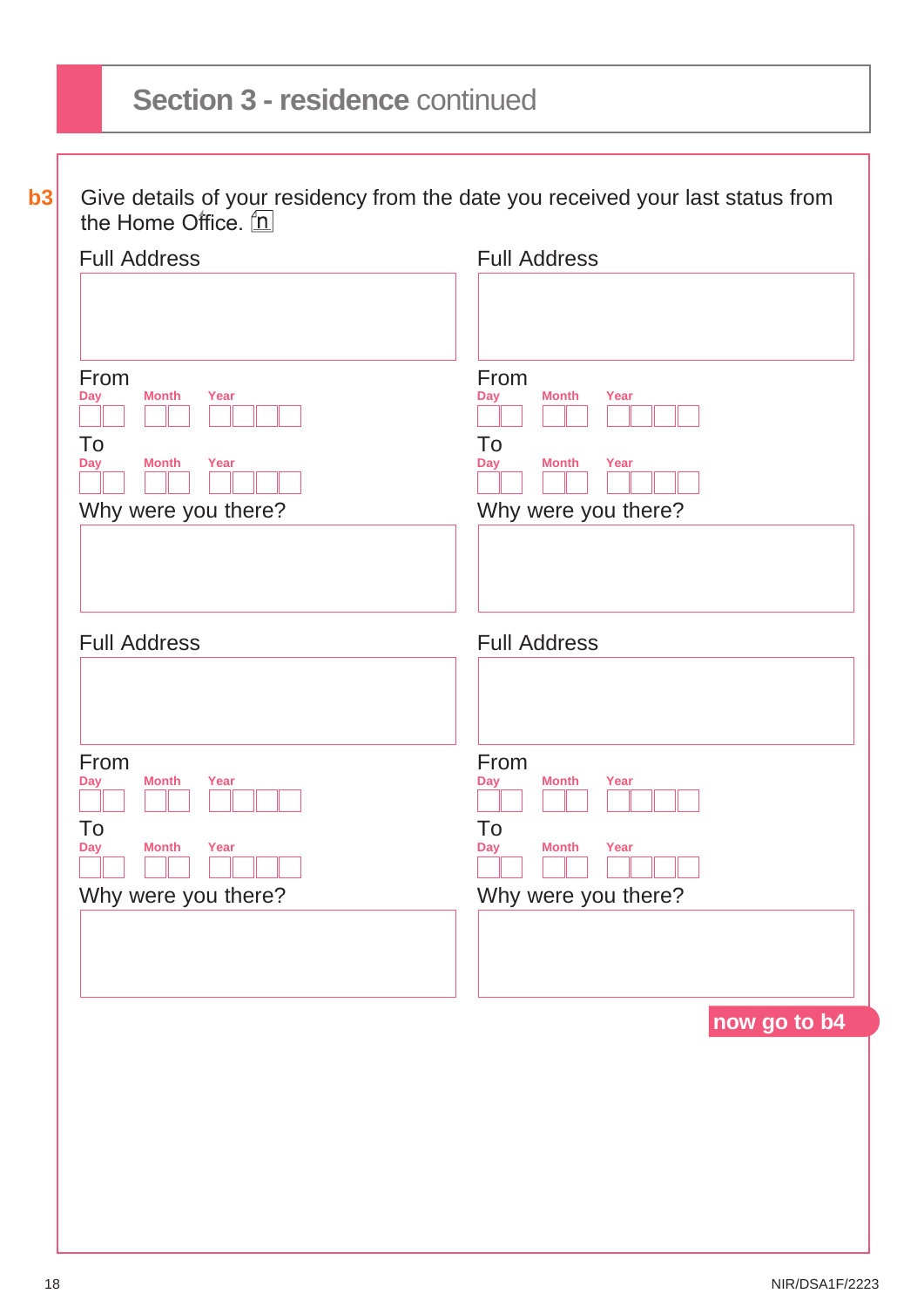# **Section 3 - residence** continued

**b3** Give details of your residency from the date you received your last status from the Home Office.

| <b>Full Address</b>                      |
|------------------------------------------|
|                                          |
|                                          |
| From<br><b>Month</b><br>Year<br>Day      |
|                                          |
| To<br><b>Day</b><br>Year<br><b>Month</b> |
|                                          |
| Why were you there?                      |
|                                          |
|                                          |
|                                          |
| <b>Full Address</b>                      |
|                                          |
|                                          |
| From                                     |
| <b>Month</b><br>Year<br>Day              |
| To                                       |
| Year<br><b>Day</b><br><b>Month</b>       |
| Why were you there?                      |
|                                          |
|                                          |
|                                          |
| now go to b4                             |
|                                          |
|                                          |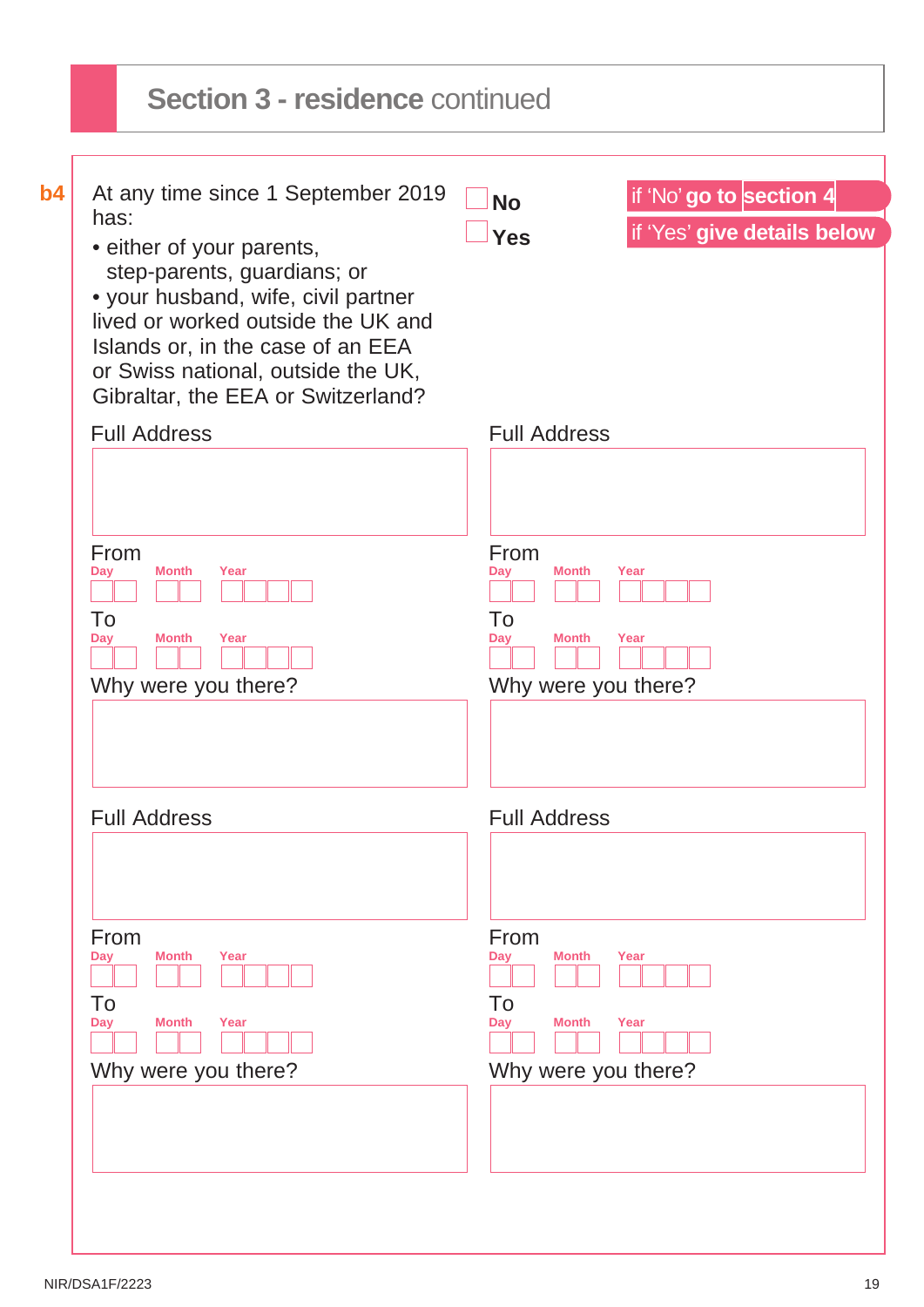| has:<br>if 'Yes' give details below<br><b>Yes</b><br>• either of your parents,<br>step-parents, guardians; or<br>• your husband, wife, civil partner<br>lived or worked outside the UK and<br>Islands or, in the case of an EEA<br>or Swiss national, outside the UK,<br>Gibraltar, the EEA or Switzerland?<br><b>Full Address</b><br><b>Full Address</b><br>From<br>From<br><b>Month</b><br>Year<br><b>Month</b><br>Year<br>Day<br>Dav<br>To<br>To<br><b>Month</b><br>Year<br><b>Month</b><br>Year<br>Day<br>Day |  |
|-------------------------------------------------------------------------------------------------------------------------------------------------------------------------------------------------------------------------------------------------------------------------------------------------------------------------------------------------------------------------------------------------------------------------------------------------------------------------------------------------------------------|--|
|                                                                                                                                                                                                                                                                                                                                                                                                                                                                                                                   |  |
|                                                                                                                                                                                                                                                                                                                                                                                                                                                                                                                   |  |
|                                                                                                                                                                                                                                                                                                                                                                                                                                                                                                                   |  |
|                                                                                                                                                                                                                                                                                                                                                                                                                                                                                                                   |  |
|                                                                                                                                                                                                                                                                                                                                                                                                                                                                                                                   |  |
|                                                                                                                                                                                                                                                                                                                                                                                                                                                                                                                   |  |
| Why were you there?<br>Why were you there?                                                                                                                                                                                                                                                                                                                                                                                                                                                                        |  |
|                                                                                                                                                                                                                                                                                                                                                                                                                                                                                                                   |  |
| <b>Full Address</b><br><b>Full Address</b>                                                                                                                                                                                                                                                                                                                                                                                                                                                                        |  |
|                                                                                                                                                                                                                                                                                                                                                                                                                                                                                                                   |  |
| From<br>From<br><b>Month</b><br>Year<br><b>Month</b><br>Year<br>Day<br>Day                                                                                                                                                                                                                                                                                                                                                                                                                                        |  |
| To<br>To                                                                                                                                                                                                                                                                                                                                                                                                                                                                                                          |  |
| Year<br><b>Month</b><br>Year<br><b>Month</b><br>Day<br>Day                                                                                                                                                                                                                                                                                                                                                                                                                                                        |  |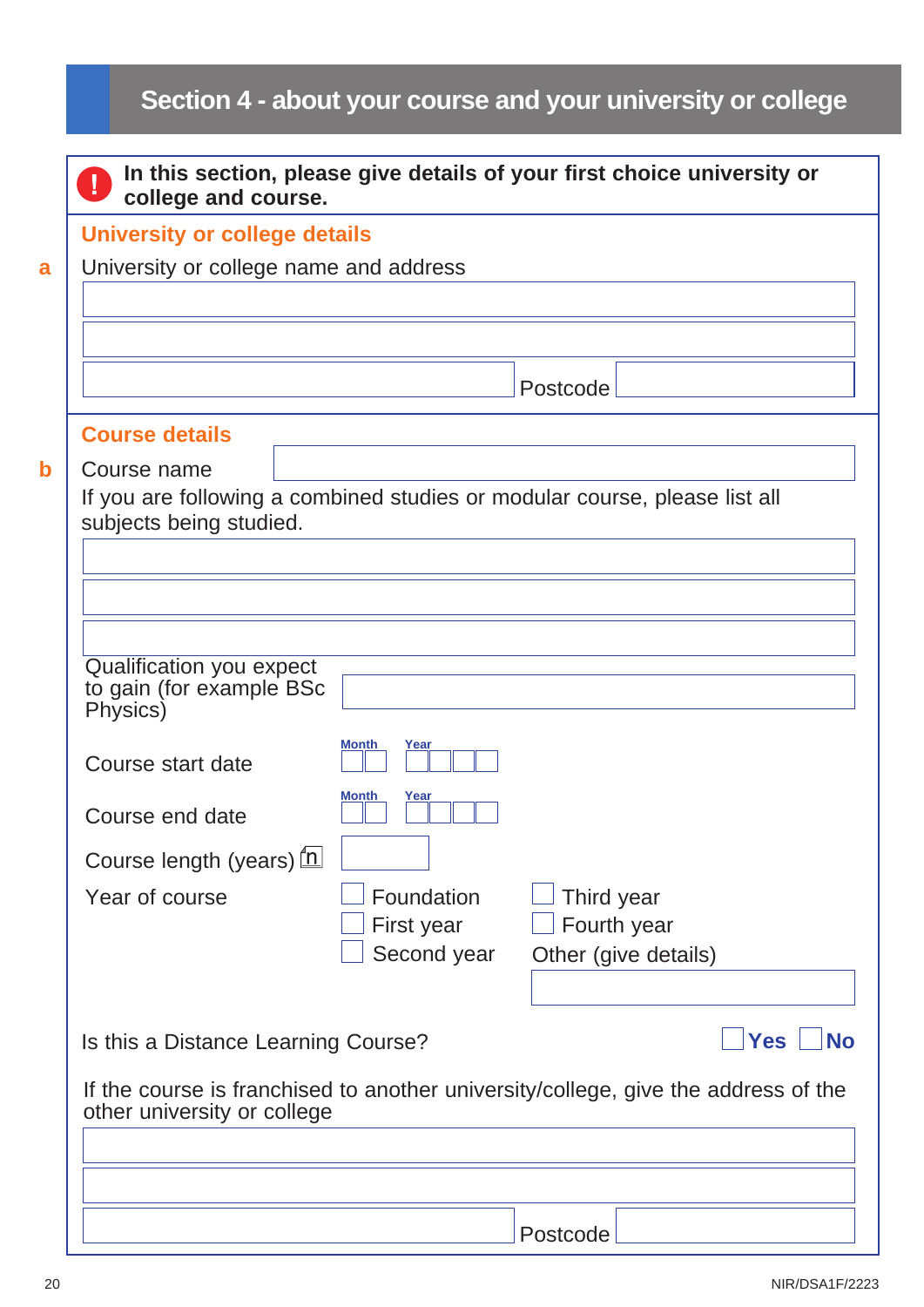# <span id="page-19-0"></span>**Section 4 - about your course and your university or college**

| <b>University or college details</b>                             |                      |                                                                                    |
|------------------------------------------------------------------|----------------------|------------------------------------------------------------------------------------|
| University or college name and address                           |                      |                                                                                    |
|                                                                  |                      |                                                                                    |
|                                                                  |                      |                                                                                    |
|                                                                  |                      | Postcode                                                                           |
| <b>Course details</b>                                            |                      |                                                                                    |
| Course name                                                      |                      |                                                                                    |
| subjects being studied.                                          |                      | If you are following a combined studies or modular course, please list all         |
|                                                                  |                      |                                                                                    |
|                                                                  |                      |                                                                                    |
|                                                                  |                      |                                                                                    |
| Qualification you expect<br>to gain (for example BSc<br>Physics) |                      |                                                                                    |
|                                                                  | Year<br>Month        |                                                                                    |
| Course start date                                                |                      |                                                                                    |
| Course end date                                                  | Month<br><u>Year</u> |                                                                                    |
| Course length (years) [1]                                        |                      |                                                                                    |
| Year of course                                                   | Foundation           | Third year                                                                         |
|                                                                  | First year           | Fourth year                                                                        |
|                                                                  | Second year          | Other (give details)                                                               |
|                                                                  |                      |                                                                                    |
| Is this a Distance Learning Course?                              |                      | <b>Yes</b><br><b>No</b>                                                            |
| other university or college                                      |                      | If the course is franchised to another university/college, give the address of the |
|                                                                  |                      |                                                                                    |
|                                                                  |                      |                                                                                    |
|                                                                  |                      |                                                                                    |
|                                                                  |                      | Postcode                                                                           |

**a**

**b**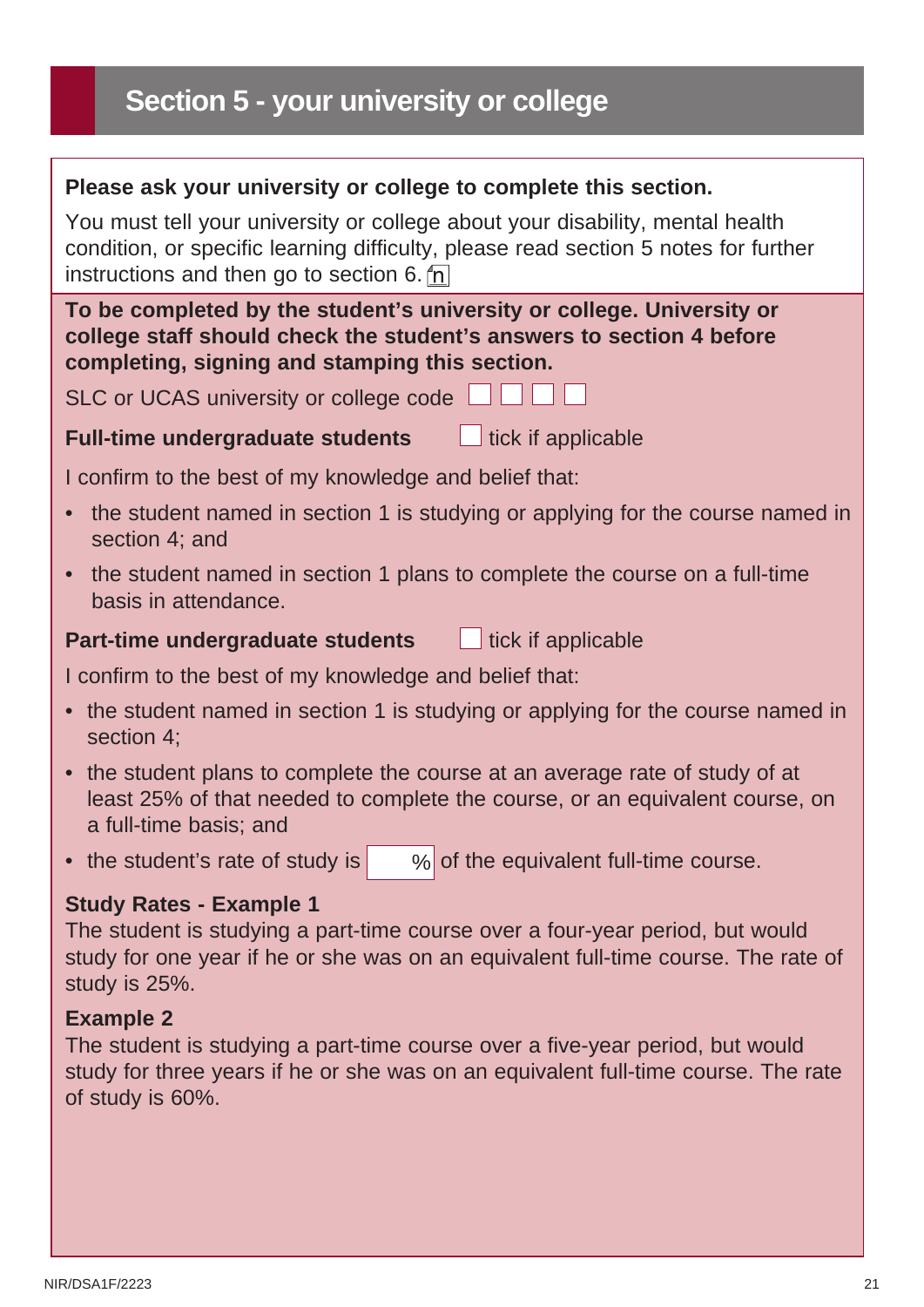## **Section 5 - your university or college**

### **Please ask your university or college to complete this section.**

You must tell your university or college about your disability, mental health condition, or specific learning difficulty, please read section 5 notes for further instructions and then go to section 6.  $n$ 

**To be completed by the student's university or college. University or college staff should check the student's answers to section 4 before completing, signing and stamping this section.**

SLC or UCAS university or college code

#### **Full-time undergraduate students** Lick if applicable

I confirm to the best of my knowledge and belief that:

- the student named in section 1 is studying or applying for the course named in section 4; and
- the student named in section 1 plans to complete the course on a full-time basis in attendance.

#### **Part-time undergraduate students the lines of the Union Part-time undergraduate students**

I confirm to the best of my knowledge and belief that:

- the student named in section 1 is studying or applying for the course named in section 4;
- the student plans to complete the course at an average rate of study of at least 25% of that needed to complete the course, or an equivalent course, on a full-time basis; and
- the student's rate of study is  $\%$  of the equivalent full-time course.

### **Study Rates - Example 1**

The student is studying a part-time course over a four-year period, but would study for one year if he or she was on an equivalent full-time course. The rate of study is 25%.

### **Example 2**

The student is studying a part-time course over a five-year period, but would study for three years if he or she was on an equivalent full-time course. The rate of study is 60%.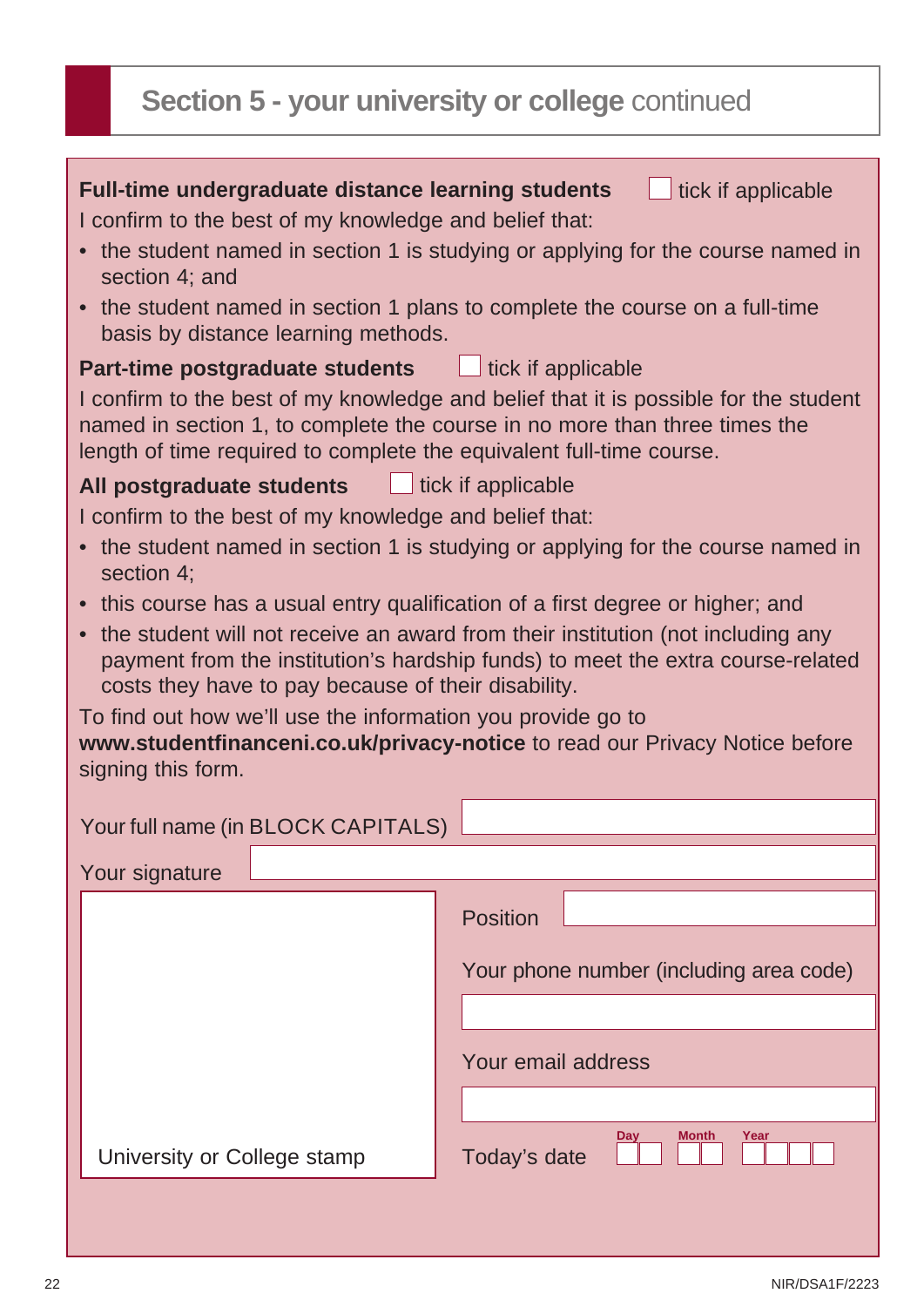# **Section 5 - your university or college** continued

| <b>Full-time undergraduate distance learning students</b><br>tick if applicable<br>I confirm to the best of my knowledge and belief that:<br>• the student named in section 1 is studying or applying for the course named in<br>section 4; and<br>• the student named in section 1 plans to complete the course on a full-time<br>basis by distance learning methods. |                                                                                                                                                                    |  |  |  |
|------------------------------------------------------------------------------------------------------------------------------------------------------------------------------------------------------------------------------------------------------------------------------------------------------------------------------------------------------------------------|--------------------------------------------------------------------------------------------------------------------------------------------------------------------|--|--|--|
| <b>Part-time postgraduate students</b> Lick if applicable                                                                                                                                                                                                                                                                                                              |                                                                                                                                                                    |  |  |  |
| length of time required to complete the equivalent full-time course.                                                                                                                                                                                                                                                                                                   | I confirm to the best of my knowledge and belief that it is possible for the student<br>named in section 1, to complete the course in no more than three times the |  |  |  |
| All postgraduate students Luck if applicable                                                                                                                                                                                                                                                                                                                           |                                                                                                                                                                    |  |  |  |
| I confirm to the best of my knowledge and belief that:                                                                                                                                                                                                                                                                                                                 |                                                                                                                                                                    |  |  |  |
| • the student named in section 1 is studying or applying for the course named in                                                                                                                                                                                                                                                                                       |                                                                                                                                                                    |  |  |  |
| section 4;<br>• this course has a usual entry qualification of a first degree or higher; and                                                                                                                                                                                                                                                                           |                                                                                                                                                                    |  |  |  |
| • the student will not receive an award from their institution (not including any<br>payment from the institution's hardship funds) to meet the extra course-related<br>costs they have to pay because of their disability.                                                                                                                                            |                                                                                                                                                                    |  |  |  |
| To find out how we'll use the information you provide go to<br>www.studentfinanceni.co.uk/privacy-notice to read our Privacy Notice before<br>signing this form.                                                                                                                                                                                                       |                                                                                                                                                                    |  |  |  |
| Your full name (in BLOCK CAPITALS)                                                                                                                                                                                                                                                                                                                                     |                                                                                                                                                                    |  |  |  |
| Your signature                                                                                                                                                                                                                                                                                                                                                         |                                                                                                                                                                    |  |  |  |
|                                                                                                                                                                                                                                                                                                                                                                        | <b>Position</b>                                                                                                                                                    |  |  |  |
|                                                                                                                                                                                                                                                                                                                                                                        | Your phone number (including area code)                                                                                                                            |  |  |  |
|                                                                                                                                                                                                                                                                                                                                                                        |                                                                                                                                                                    |  |  |  |
|                                                                                                                                                                                                                                                                                                                                                                        | Your email address                                                                                                                                                 |  |  |  |
|                                                                                                                                                                                                                                                                                                                                                                        |                                                                                                                                                                    |  |  |  |
| University or College stamp                                                                                                                                                                                                                                                                                                                                            | Month<br>Year<br>Day<br>Today's date                                                                                                                               |  |  |  |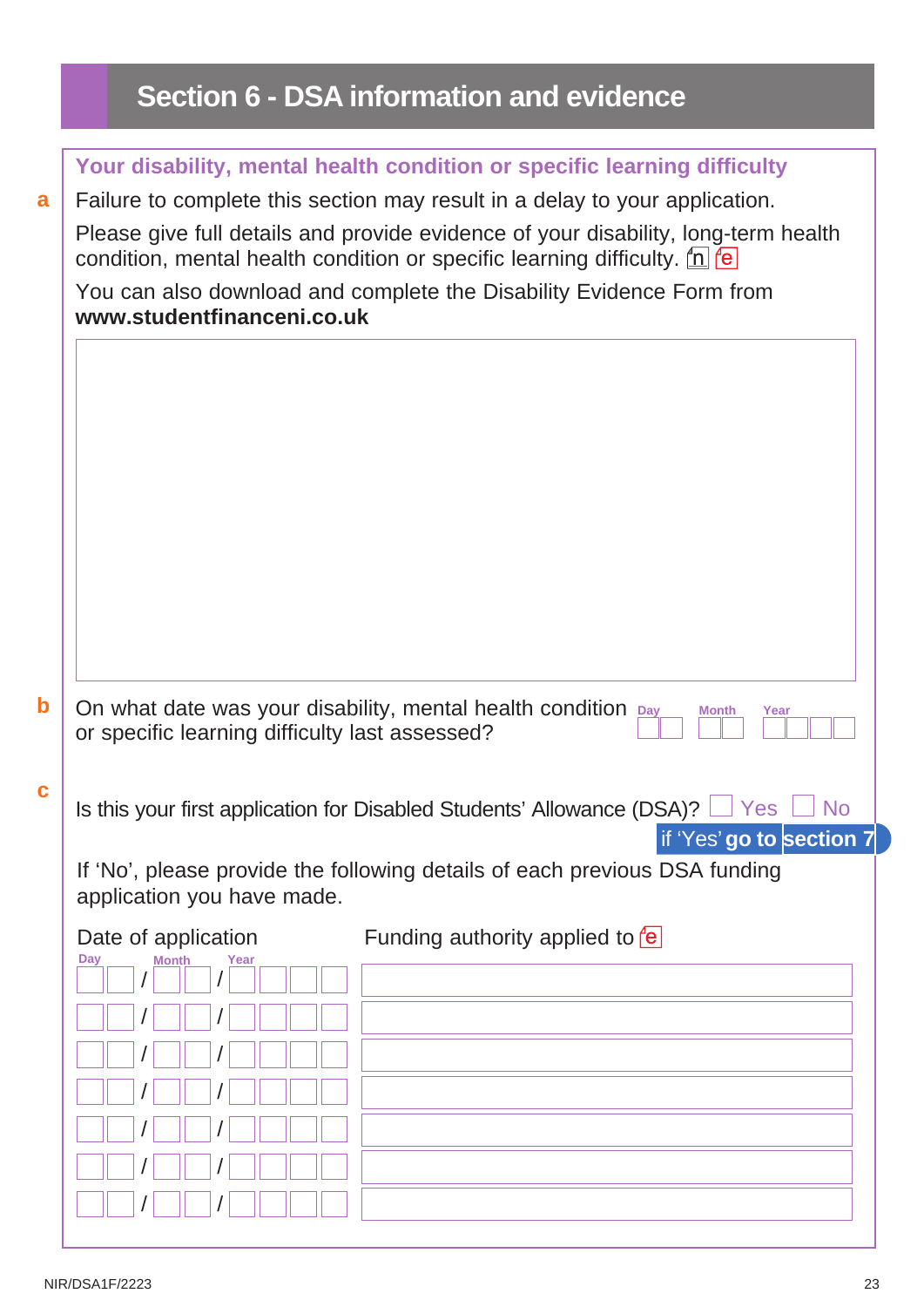# **Section 6 - DSA information and evidence**

|                                                                                                                                                                                                                                                                                                                                                                                | Your disability, mental health condition or specific learning difficulty                          |  |  |  |  |
|--------------------------------------------------------------------------------------------------------------------------------------------------------------------------------------------------------------------------------------------------------------------------------------------------------------------------------------------------------------------------------|---------------------------------------------------------------------------------------------------|--|--|--|--|
| Failure to complete this section may result in a delay to your application.<br>Please give full details and provide evidence of your disability, long-term health<br>condition, mental health condition or specific learning difficulty. $\underline{f}$ $\underline{e}$<br>You can also download and complete the Disability Evidence Form from<br>www.studentfinanceni.co.uk |                                                                                                   |  |  |  |  |
|                                                                                                                                                                                                                                                                                                                                                                                |                                                                                                   |  |  |  |  |
|                                                                                                                                                                                                                                                                                                                                                                                |                                                                                                   |  |  |  |  |
|                                                                                                                                                                                                                                                                                                                                                                                |                                                                                                   |  |  |  |  |
|                                                                                                                                                                                                                                                                                                                                                                                |                                                                                                   |  |  |  |  |
|                                                                                                                                                                                                                                                                                                                                                                                |                                                                                                   |  |  |  |  |
|                                                                                                                                                                                                                                                                                                                                                                                |                                                                                                   |  |  |  |  |
|                                                                                                                                                                                                                                                                                                                                                                                |                                                                                                   |  |  |  |  |
|                                                                                                                                                                                                                                                                                                                                                                                |                                                                                                   |  |  |  |  |
|                                                                                                                                                                                                                                                                                                                                                                                |                                                                                                   |  |  |  |  |
|                                                                                                                                                                                                                                                                                                                                                                                |                                                                                                   |  |  |  |  |
|                                                                                                                                                                                                                                                                                                                                                                                | On what date was your disability, mental health condition Day<br><b>Month</b><br>Year             |  |  |  |  |
| or specific learning difficulty last assessed?                                                                                                                                                                                                                                                                                                                                 |                                                                                                   |  |  |  |  |
|                                                                                                                                                                                                                                                                                                                                                                                |                                                                                                   |  |  |  |  |
|                                                                                                                                                                                                                                                                                                                                                                                | Is this your first application for Disabled Students' Allowance (DSA)?<br><b>Yes</b><br><b>No</b> |  |  |  |  |
|                                                                                                                                                                                                                                                                                                                                                                                |                                                                                                   |  |  |  |  |
| application you have made.                                                                                                                                                                                                                                                                                                                                                     | If 'No', please provide the following details of each previous DSA funding                        |  |  |  |  |
| Date of application                                                                                                                                                                                                                                                                                                                                                            | If 'Yes' go to section 7<br>Funding authority applied to $\text{e}$                               |  |  |  |  |
| Year<br>Day<br>Month                                                                                                                                                                                                                                                                                                                                                           |                                                                                                   |  |  |  |  |
|                                                                                                                                                                                                                                                                                                                                                                                |                                                                                                   |  |  |  |  |
|                                                                                                                                                                                                                                                                                                                                                                                |                                                                                                   |  |  |  |  |
|                                                                                                                                                                                                                                                                                                                                                                                |                                                                                                   |  |  |  |  |
|                                                                                                                                                                                                                                                                                                                                                                                |                                                                                                   |  |  |  |  |
|                                                                                                                                                                                                                                                                                                                                                                                |                                                                                                   |  |  |  |  |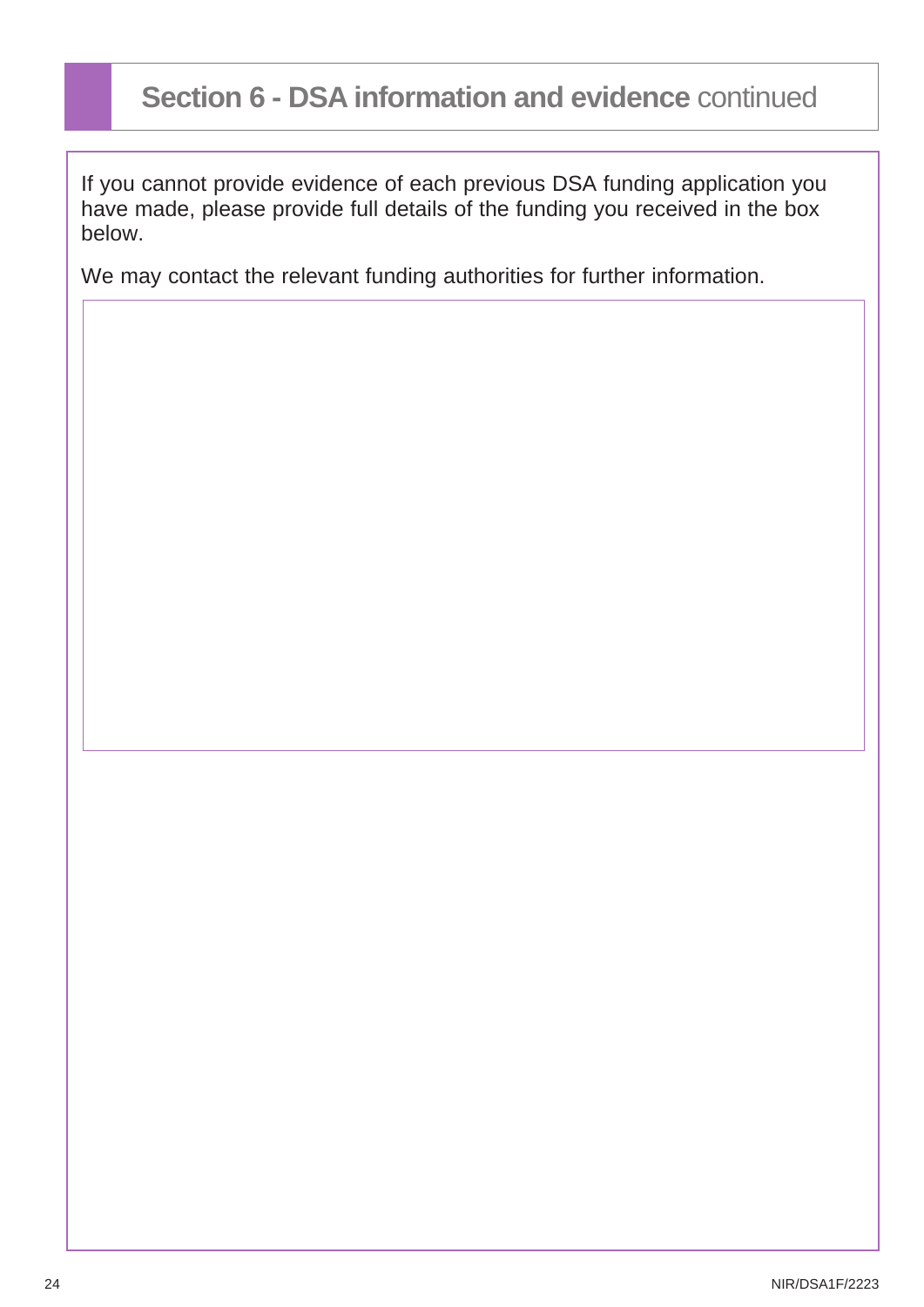## **Section 6 - DSA information and evidence** continued

If you cannot provide evidence of each previous DSA funding application you have made, please provide full details of the funding you received in the box below.

We may contact the relevant funding authorities for further information.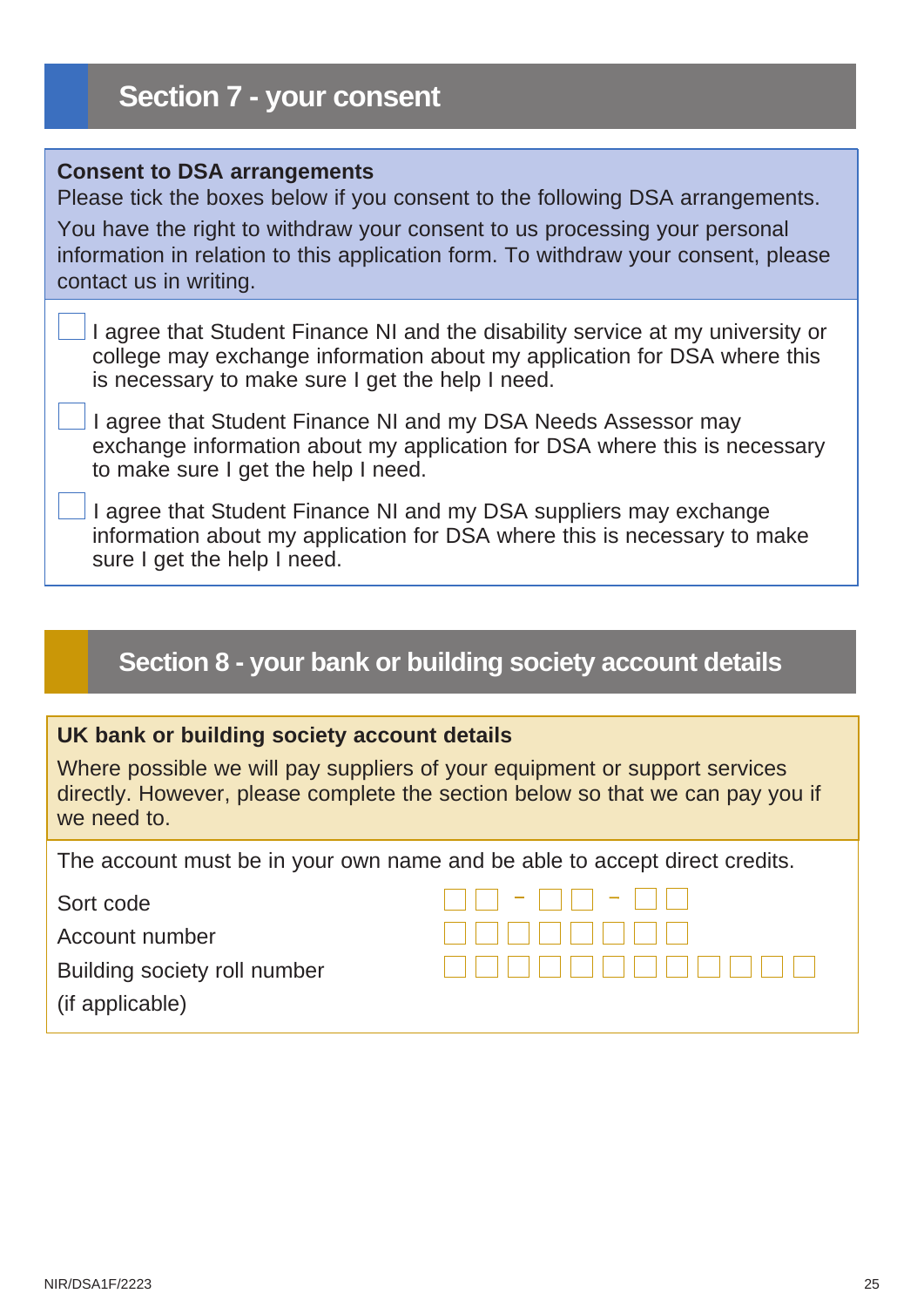#### <span id="page-24-0"></span>**Consent to DSA arrangements**

Please tick the boxes below if you consent to the following DSA arrangements. You have the right to withdraw your consent to us processing your personal information in relation to this application form. To withdraw your consent, please contact us in writing.

| I agree that Student Finance NI and the disability service at my university or |
|--------------------------------------------------------------------------------|
| college may exchange information about my application for DSA where this       |
| is necessary to make sure I get the help I need.                               |

 I agree that Student Finance NI and my DSA Needs Assessor may exchange information about my application for DSA where this is necessary to make sure I get the help I need.

 I agree that Student Finance NI and my DSA suppliers may exchange information about my application for DSA where this is necessary to make sure I get the help I need.

## **Section 8 - your bank or building society account details**

#### **UK bank or building society account details**

Where possible we will pay suppliers of your equipment or support services directly. However, please complete the section below so that we can pay you if we need to.

The account must be in your own name and be able to accept direct credits.

Sort code

Account number

Building society roll number

(if applicable)

| FIFI - FIFI - FIFI        |  |
|---------------------------|--|
| , , , , , , , , , , , , , |  |
|                           |  |
|                           |  |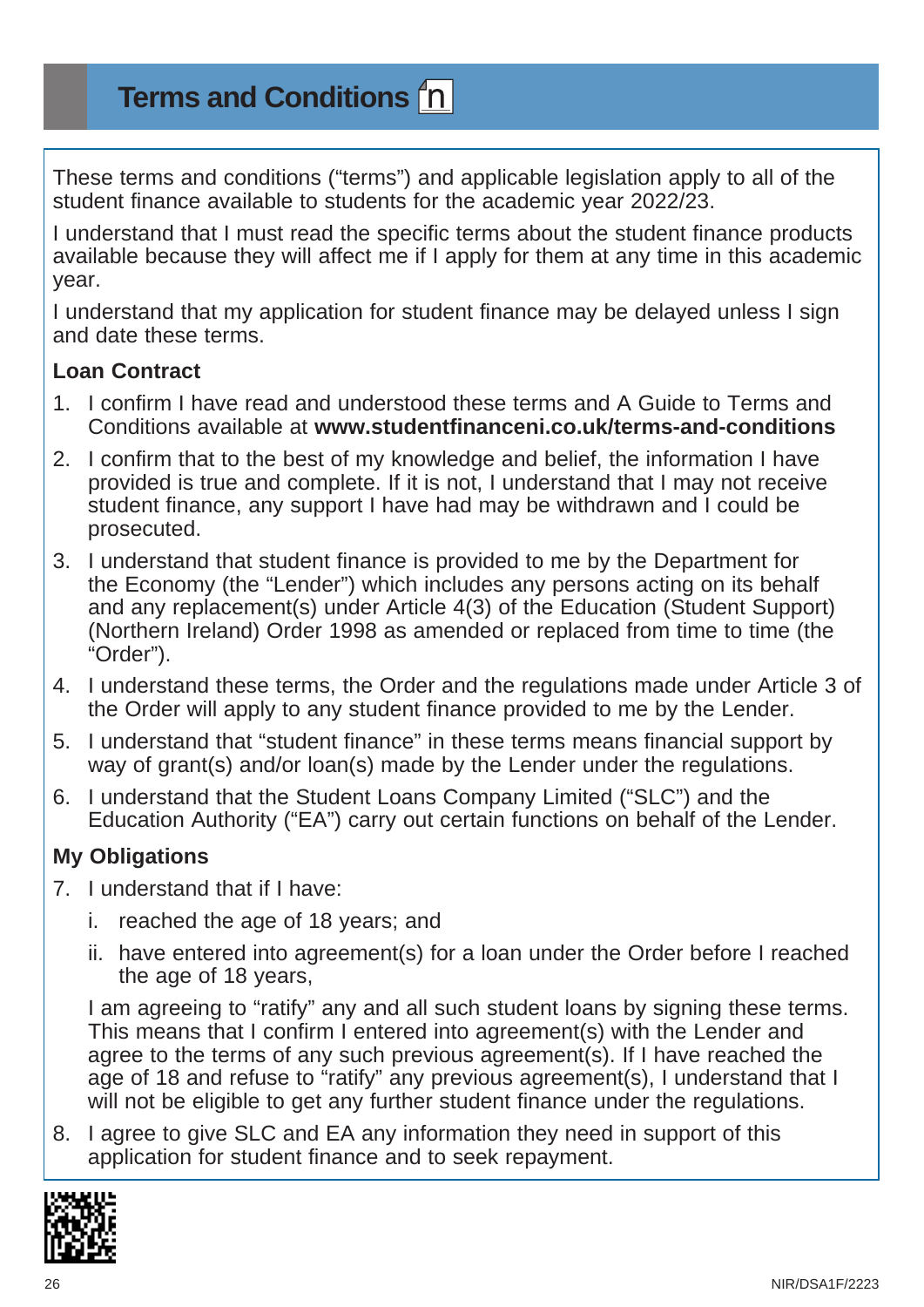**Terms and Conditions**

These terms and conditions ("terms") and applicable legislation apply to all of the student finance available to students for the academic year 2022/23.

I understand that I must read the specific terms about the student finance products available because they will affect me if I apply for them at any time in this academic year.

I understand that my application for student finance may be delayed unless I sign and date these terms.

### **Loan Contract**

- 1. I confirm I have read and understood these terms and A Guide to Terms and Conditions available at **[www.studentfinanceni.co.uk/terms-and-conditions](https://www.studentfinanceni.co.uk/terms-and-conditions)**
- 2. I confirm that to the best of my knowledge and belief, the information I have provided is true and complete. If it is not, I understand that I may not receive student finance, any support I have had may be withdrawn and I could be prosecuted.
- 3. I understand that student finance is provided to me by the Department for the Economy (the "Lender") which includes any persons acting on its behalf and any replacement(s) under Article 4(3) of the Education (Student Support) (Northern Ireland) Order 1998 as amended or replaced from time to time (the "Order").
- 4. I understand these terms, the Order and the regulations made under Article 3 of the Order will apply to any student finance provided to me by the Lender.
- 5. I understand that "student finance" in these terms means financial support by way of grant(s) and/or loan(s) made by the Lender under the regulations.
- 6. I understand that the Student Loans Company Limited ("SLC") and the Education Authority ("EA") carry out certain functions on behalf of the Lender.

### **My Obligations**

- 7. I understand that if I have:
	- i. reached the age of 18 years; and
	- ii. have entered into agreement(s) for a loan under the Order before I reached the age of 18 years,

I am agreeing to "ratify" any and all such student loans by signing these terms. This means that I confirm I entered into agreement(s) with the Lender and agree to the terms of any such previous agreement(s). If I have reached the age of 18 and refuse to "ratify" any previous agreement(s), I understand that I will not be eligible to get any further student finance under the regulations.

8. I agree to give SLC and EA any information they need in support of this application for student finance and to seek repayment.

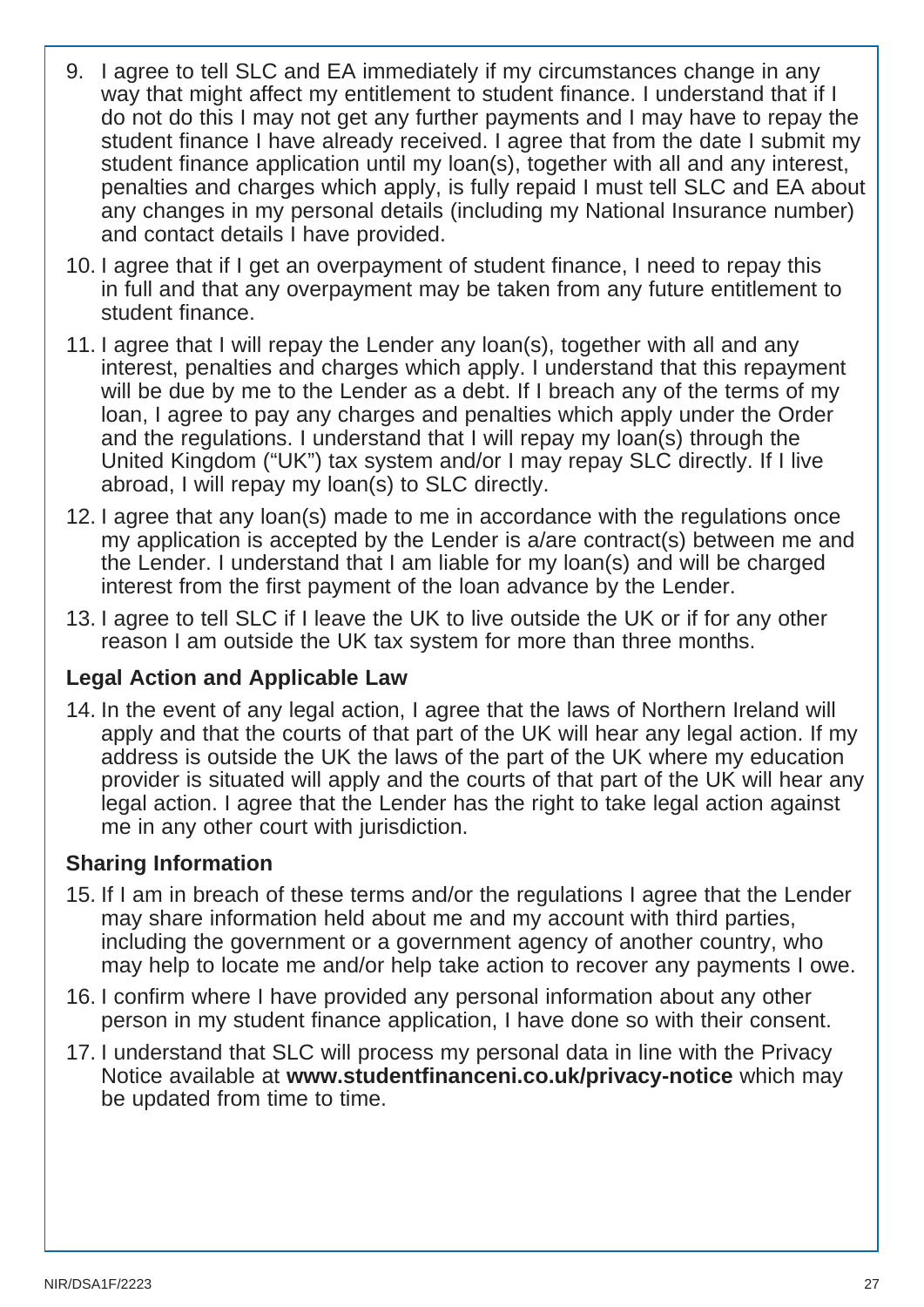- 9. I agree to tell SLC and EA immediately if my circumstances change in any way that might affect my entitlement to student finance. I understand that if I do not do this I may not get any further payments and I may have to repay the student finance I have already received. I agree that from the date I submit my student finance application until my loan(s), together with all and any interest, penalties and charges which apply, is fully repaid I must tell SLC and EA about any changes in my personal details (including my National Insurance number) and contact details I have provided.
- 10. I agree that if I get an overpayment of student finance, I need to repay this in full and that any overpayment may be taken from any future entitlement to student finance.
- 11. I agree that I will repay the Lender any loan(s), together with all and any interest, penalties and charges which apply. I understand that this repayment will be due by me to the Lender as a debt. If I breach any of the terms of my loan, I agree to pay any charges and penalties which apply under the Order and the regulations. I understand that I will repay my loan(s) through the United Kingdom ("UK") tax system and/or I may repay SLC directly. If I live abroad, I will repay my loan(s) to SLC directly.
- 12. I agree that any loan(s) made to me in accordance with the regulations once my application is accepted by the Lender is a/are contract(s) between me and the Lender. I understand that I am liable for my loan(s) and will be charged interest from the first payment of the loan advance by the Lender.
- 13. I agree to tell SLC if I leave the UK to live outside the UK or if for any other reason I am outside the UK tax system for more than three months.

## **Legal Action and Applicable Law**

14. In the event of any legal action, I agree that the laws of Northern Ireland will apply and that the courts of that part of the UK will hear any legal action. If my address is outside the UK the laws of the part of the UK where my education provider is situated will apply and the courts of that part of the UK will hear any legal action. I agree that the Lender has the right to take legal action against me in any other court with jurisdiction.

### **Sharing Information**

- 15. If I am in breach of these terms and/or the regulations I agree that the Lender may share information held about me and my account with third parties, including the government or a government agency of another country, who may help to locate me and/or help take action to recover any payments I owe.
- 16. I confirm where I have provided any personal information about any other person in my student finance application, I have done so with their consent.
- 17. I understand that SLC will process my personal data in line with the Privacy Notice available at **[www.studentfinanceni.co.uk/privacy-notice](http://www.studentfinanceni.co.uk/privacy-notice)** which may be updated from time to time.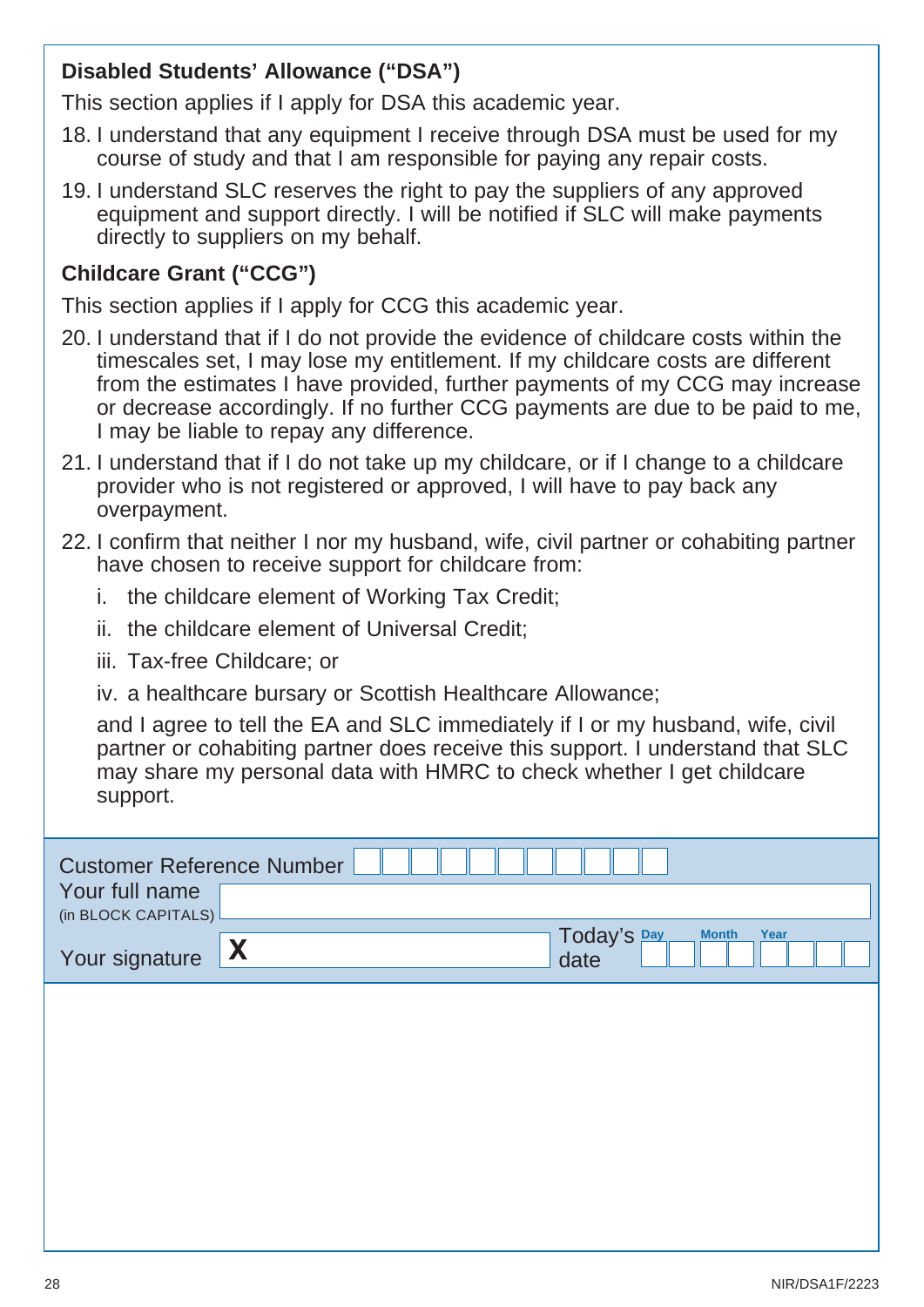### **Disabled Students' Allowance ("DSA")**

This section applies if I apply for DSA this academic year.

- 18. I understand that any equipment I receive through DSA must be used for my course of study and that I am responsible for paying any repair costs.
- 19. I understand SLC reserves the right to pay the suppliers of any approved equipment and support directly. I will be notified if SLC will make payments directly to suppliers on my behalf.

### **Childcare Grant ("CCG")**

This section applies if I apply for CCG this academic year.

- 20. I understand that if I do not provide the evidence of childcare costs within the timescales set, I may lose my entitlement. If my childcare costs are different from the estimates I have provided, further payments of my CCG may increase or decrease accordingly. If no further CCG payments are due to be paid to me, I may be liable to repay any difference.
- 21. I understand that if I do not take up my childcare, or if I change to a childcare provider who is not registered or approved, I will have to pay back any overpayment.
- 22. I confirm that neither I nor my husband, wife, civil partner or cohabiting partner have chosen to receive support for childcare from:
	- i. the childcare element of Working Tax Credit;
	- ii. the childcare element of Universal Credit;
	- iii. Tax-free Childcare; or
	- iv. a healthcare bursary or Scottish Healthcare Allowance;

and I agree to tell the EA and SLC immediately if I or my husband, wife, civil partner or cohabiting partner does receive this support. I understand that SLC may share my personal data with HMRC to check whether I get childcare support.

| <b>Customer Reference Number</b><br>Your full name |              |                                             |
|----------------------------------------------------|--------------|---------------------------------------------|
| (in BLOCK CAPITALS)<br>Your signature              | $\mathbf{X}$ | Today's Day<br><b>Month</b><br>Year<br>date |
|                                                    |              |                                             |
|                                                    |              |                                             |
|                                                    |              |                                             |
|                                                    |              |                                             |
|                                                    |              |                                             |
|                                                    |              |                                             |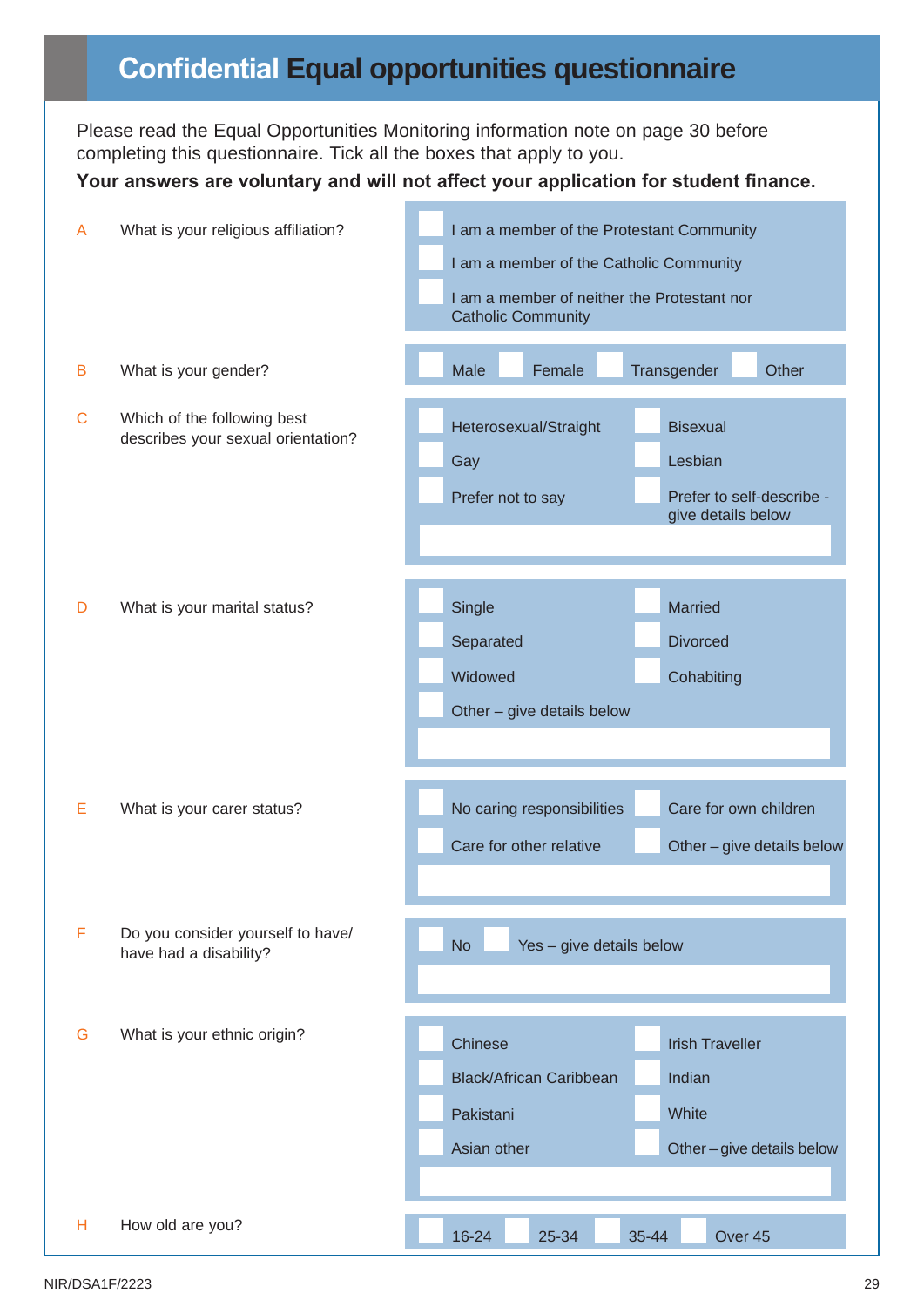## **Confidential Equal opportunities questionnaire**

Please read the Equal Opportunities Monitoring information note on page 30 before completing this questionnaire. Tick all the boxes that apply to you.

#### **Your answers are voluntary and will not affect your application for student finance.**

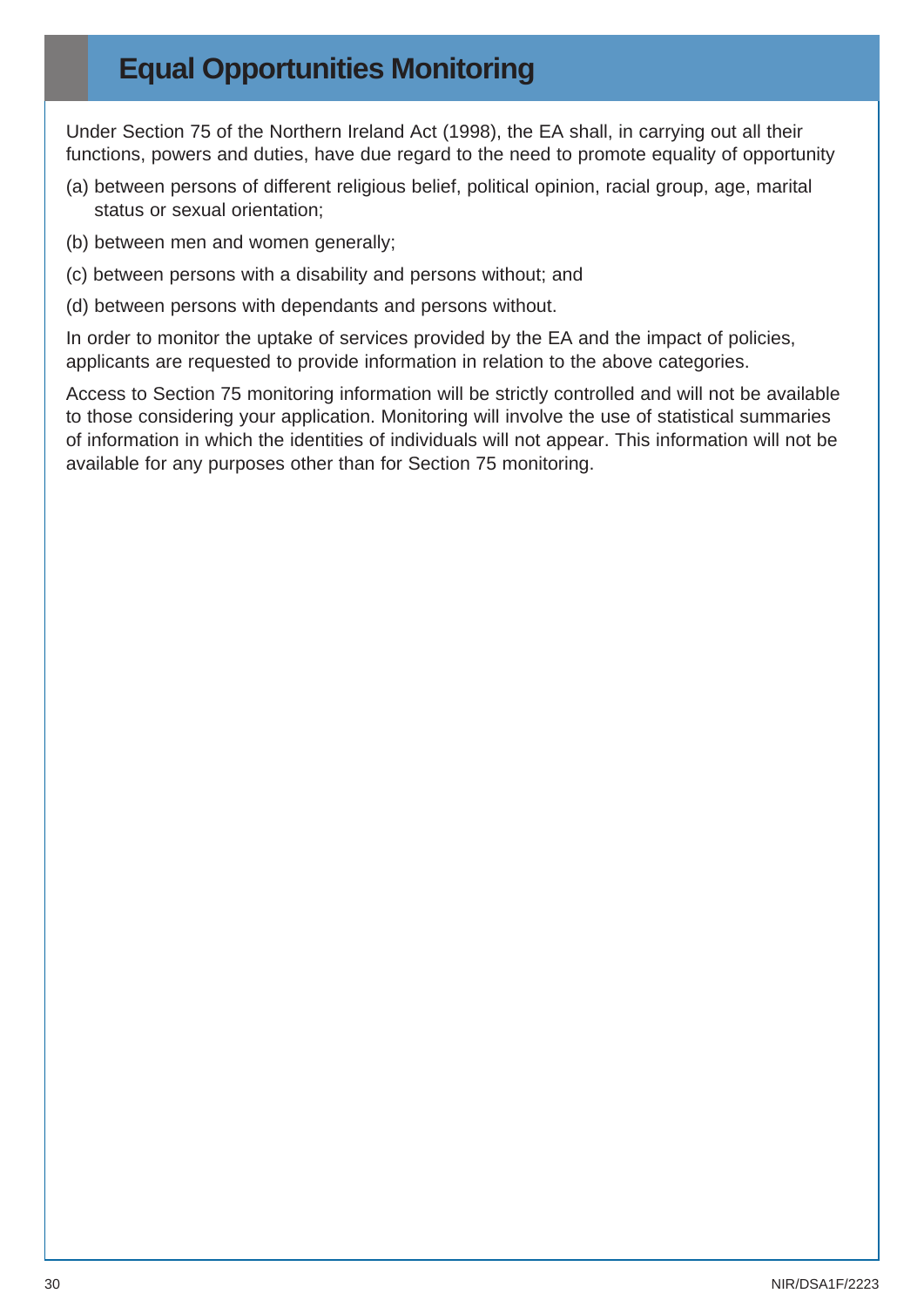## **Equal Opportunities Monitoring**

Under Section 75 of the Northern Ireland Act (1998), the EA shall, in carrying out all their functions, powers and duties, have due regard to the need to promote equality of opportunity

- (a) between persons of different religious belief, political opinion, racial group, age, marital status or sexual orientation;
- (b) between men and women generally;
- (c) between persons with a disability and persons without; and
- (d) between persons with dependants and persons without.

In order to monitor the uptake of services provided by the EA and the impact of policies, applicants are requested to provide information in relation to the above categories.

Access to Section 75 monitoring information will be strictly controlled and will not be available to those considering your application. Monitoring will involve the use of statistical summaries of information in which the identities of individuals will not appear. This information will not be available for any purposes other than for Section 75 monitoring.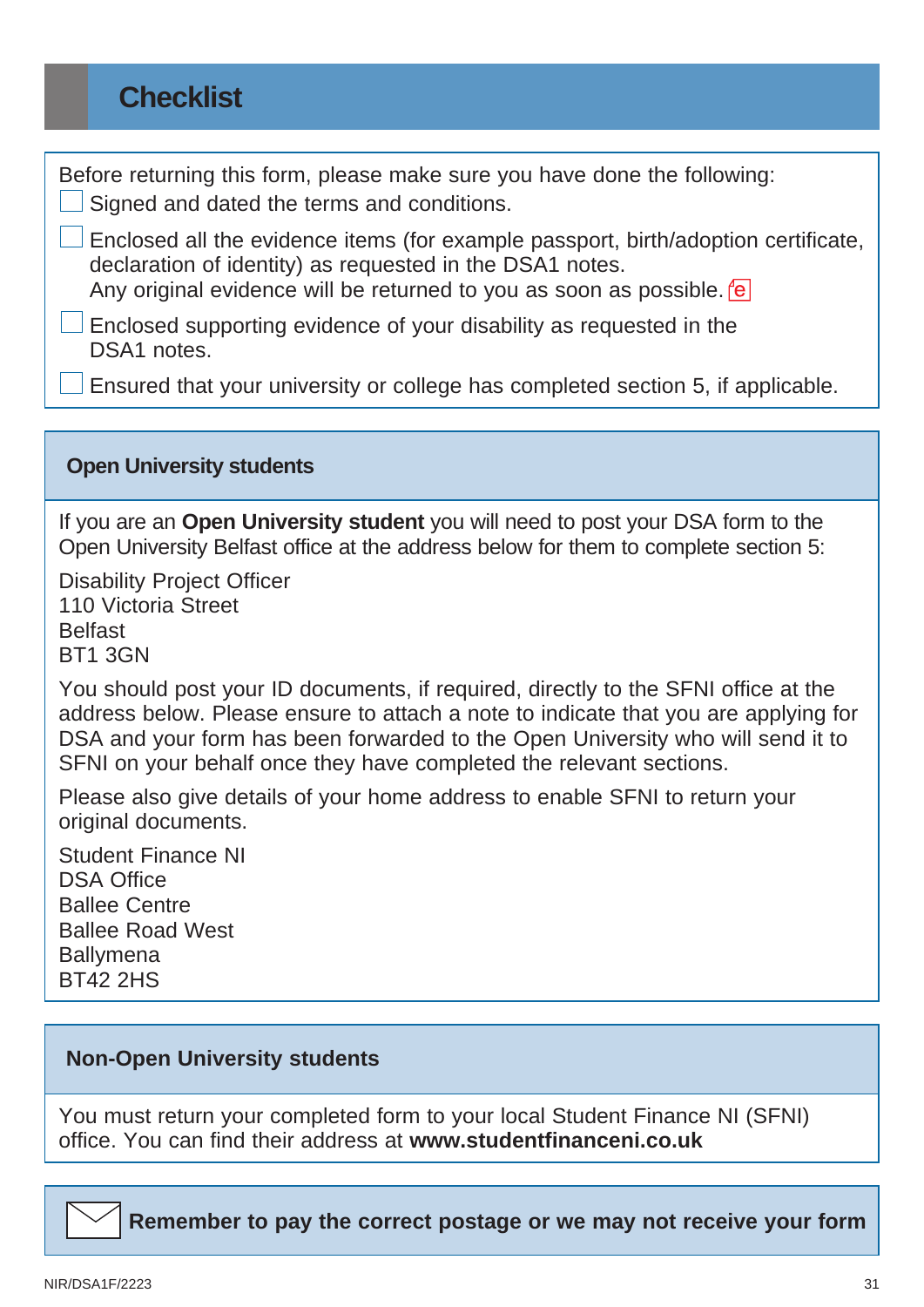## **Checklist**

Before returning this form, please make sure you have done the following: Signed and dated the terms and conditions.

 Enclosed all the evidence items (for example passport, birth/adoption certificate, declaration of identity) as requested in the DSA1 notes. Any original evidence will be returned to you as soon as possible. For

Enclosed supporting evidence of your disability as requested in the DSA<sub>1</sub> notes

Ensured that your university or college has completed section 5, if applicable.

#### **Open University students**

If you are an **Open University student** you will need to post your DSA form to the Open University Belfast office at the address below for them to complete section 5:

Disability Project Officer 110 Victoria Street **Belfast** BT1 3GN

You should post your ID documents, if required, directly to the SFNI office at the address below. Please ensure to attach a note to indicate that you are applying for DSA and your form has been forwarded to the Open University who will send it to SFNI on your behalf once they have completed the relevant sections.

Please also give details of your home address to enable SFNI to return your original documents.

Student Finance NI DSA Office Ballee Centre Ballee Road West **Ballymena** BT42 2HS

### **Non-Open University students**

You must return your completed form to your local Student Finance NI (SFNI) office. You can find their address at **[www.studentfinanceni.co.uk](https://www.studentfinanceni.co.uk/)**

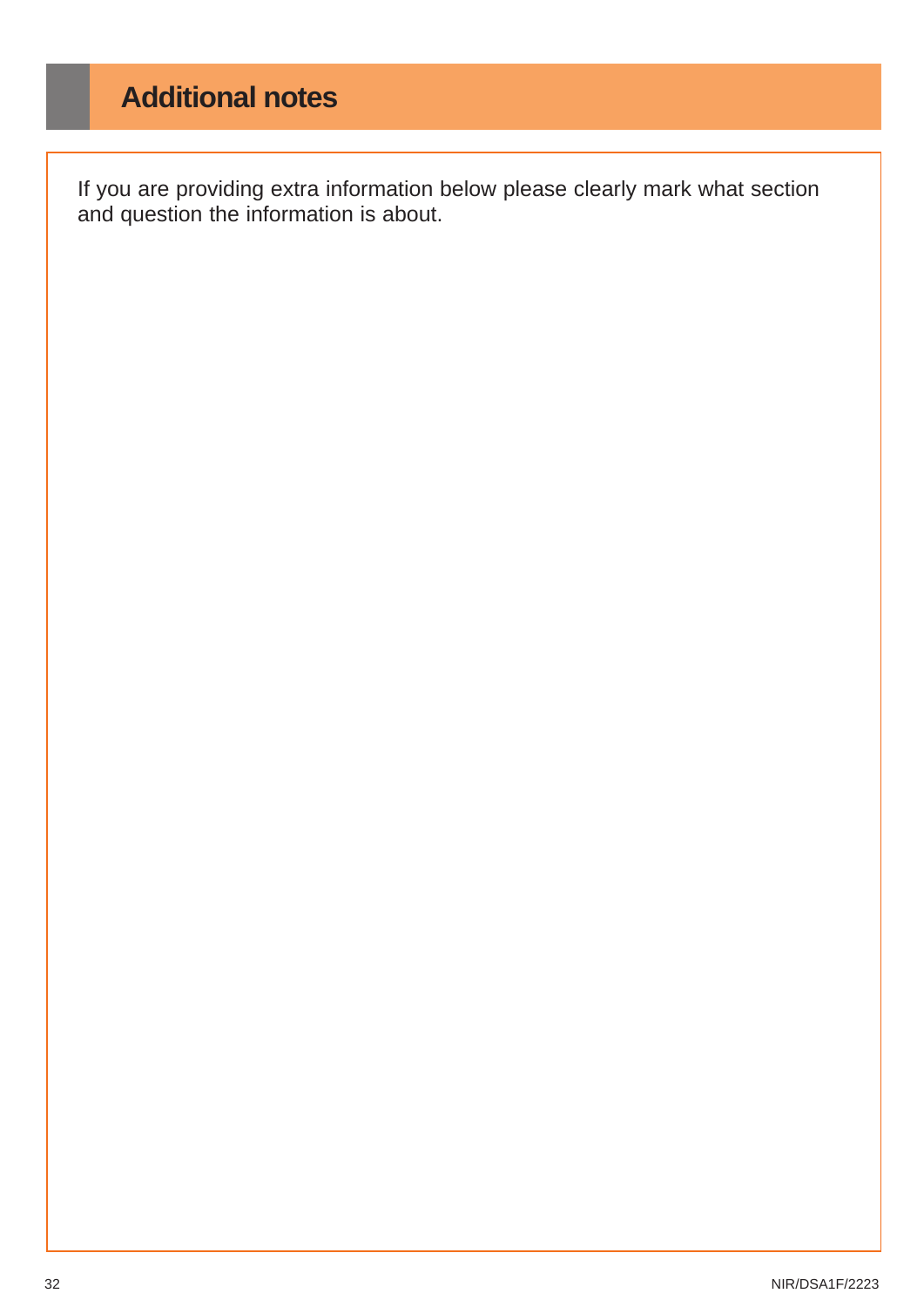# **Additional notes**

If you are providing extra information below please clearly mark what section and question the information is about.